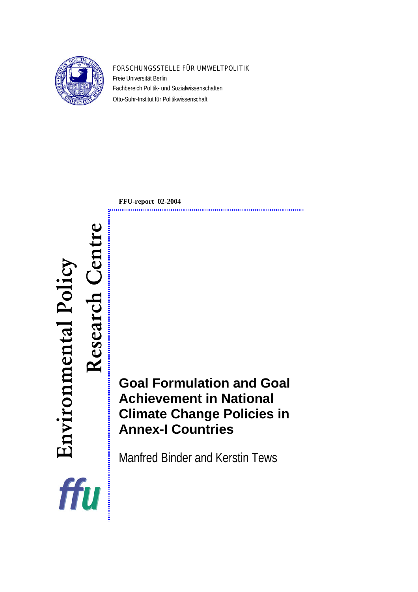

#### FORSCHUNGSSTELLE FÜR UMWELTPOLITIK

Freie Universität Berlin Fachbereich Politik- und Sozialwissenschaften Otto-Suhr-Institut für Politikwissenschaft

**FFU-report 02-2004** 

# Research Centre Environmental Policy Environmental Policy Research ffu

**Goal Formulation and Goal Achievement in National Climate Change Policies in Annex-I Countries** 

Manfred Binder and Kerstin Tews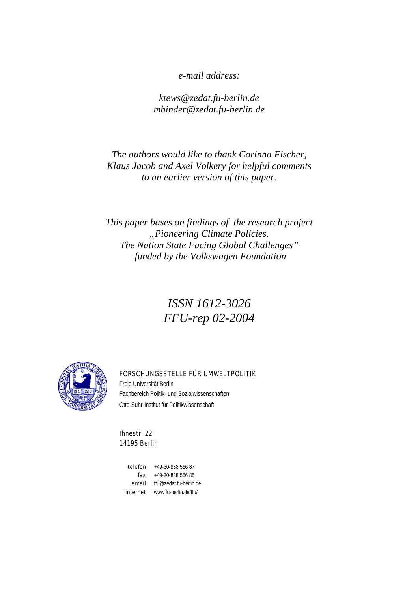*e-mail address:* 

*ktews@zedat.fu-berlin.de mbinder@zedat.fu-berlin.de* 

*The authors would like to thank Corinna Fischer, Klaus Jacob and Axel Volkery for helpful comments to an earlier version of this paper.* 

*This paper bases on findings of the research project "Pioneering Climate Policies. The Nation State Facing Global Challenges" funded by the Volkswagen Foundation* 

# *ISSN 1612-3026 FFU-rep 02-2004*



#### FORSCHUNGSSTELLE FÜR UMWELTPOLITIK

Freie Universität Berlin Fachbereich Politik- und Sozialwissenschaften Otto-Suhr-Institut für Politikwissenschaft

Ihnestr. 22 14195 Berlin

> telefon +49-30-838 566 87 fax +49-30-838 566 85 email [ffu@zedat.fu-berlin.de](mailto:ffu@zedat.fu-berlin.de) internet www.fu-berlin.de/ffu/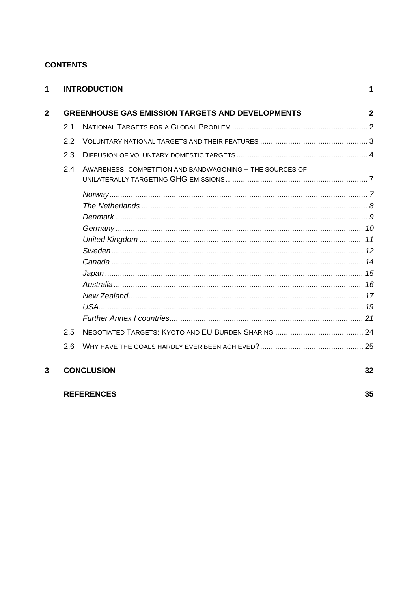## **CONTENTS**

**REFERENCES** 

| 1            |                                                         | <b>INTRODUCTION</b>                                      | 1  |  |  |  |
|--------------|---------------------------------------------------------|----------------------------------------------------------|----|--|--|--|
| $\mathbf{2}$ | <b>GREENHOUSE GAS EMISSION TARGETS AND DEVELOPMENTS</b> |                                                          |    |  |  |  |
|              | 2.1                                                     |                                                          |    |  |  |  |
|              | 2.2                                                     |                                                          |    |  |  |  |
|              | 2.3                                                     |                                                          |    |  |  |  |
|              | 2.4                                                     | AWARENESS, COMPETITION AND BANDWAGONING - THE SOURCES OF |    |  |  |  |
|              |                                                         |                                                          |    |  |  |  |
|              |                                                         |                                                          |    |  |  |  |
|              |                                                         |                                                          |    |  |  |  |
|              |                                                         |                                                          |    |  |  |  |
|              |                                                         |                                                          |    |  |  |  |
|              |                                                         |                                                          |    |  |  |  |
|              |                                                         |                                                          |    |  |  |  |
|              |                                                         |                                                          |    |  |  |  |
|              |                                                         |                                                          |    |  |  |  |
|              |                                                         |                                                          |    |  |  |  |
|              |                                                         |                                                          |    |  |  |  |
|              |                                                         |                                                          |    |  |  |  |
|              | 2.5                                                     |                                                          |    |  |  |  |
|              | 2.6                                                     |                                                          |    |  |  |  |
| 3            |                                                         | <b>CONCLUSION</b>                                        | 32 |  |  |  |

35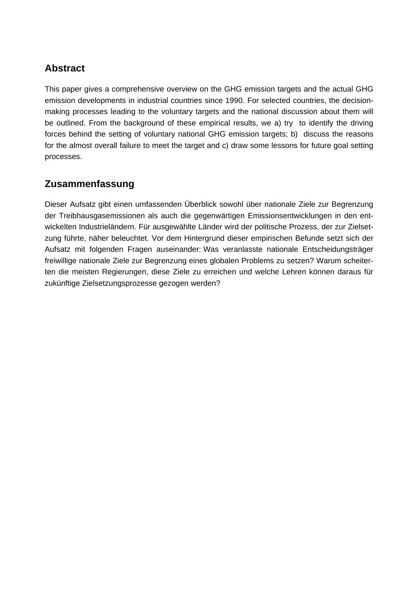# **Abstract**

This paper gives a comprehensive overview on the GHG emission targets and the actual GHG emission developments in industrial countries since 1990. For selected countries, the decisionmaking processes leading to the voluntary targets and the national discussion about them will be outlined. From the background of these empirical results, we a) try to identify the driving forces behind the setting of voluntary national GHG emission targets; b) discuss the reasons for the almost overall failure to meet the target and c) draw some lessons for future goal setting processes.

# **Zusammenfassung**

Dieser Aufsatz gibt einen umfassenden Überblick sowohl über nationale Ziele zur Begrenzung der Treibhausgasemissionen als auch die gegenwärtigen Emissionsentwicklungen in den entwickelten Industrieländern. Für ausgewählte Länder wird der politische Prozess, der zur Zielsetzung führte, näher beleuchtet. Vor dem Hintergrund dieser empirischen Befunde setzt sich der Aufsatz mit folgenden Fragen auseinander: Was veranlasste nationale Entscheidungsträger freiwillige nationale Ziele zur Begrenzung eines globalen Problems zu setzen? Warum scheiterten die meisten Regierungen, diese Ziele zu erreichen und welche Lehren können daraus für zukünftige Zielsetzungsprozesse gezogen werden?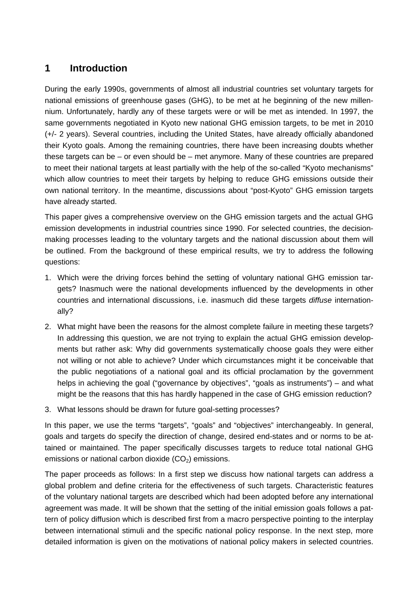# <span id="page-6-0"></span>**1 Introduction**

During the early 1990s, governments of almost all industrial countries set voluntary targets for national emissions of greenhouse gases (GHG), to be met at he beginning of the new millennium. Unfortunately, hardly any of these targets were or will be met as intended. In 1997, the same governments negotiated in Kyoto new national GHG emission targets, to be met in 2010 (+/- 2 years). Several countries, including the United States, have already officially abandoned their Kyoto goals. Among the remaining countries, there have been increasing doubts whether these targets can be – or even should be – met anymore. Many of these countries are prepared to meet their national targets at least partially with the help of the so-called "Kyoto mechanisms" which allow countries to meet their targets by helping to reduce GHG emissions outside their own national territory. In the meantime, discussions about "post-Kyoto" GHG emission targets have already started.

This paper gives a comprehensive overview on the GHG emission targets and the actual GHG emission developments in industrial countries since 1990. For selected countries, the decisionmaking processes leading to the voluntary targets and the national discussion about them will be outlined. From the background of these empirical results, we try to address the following questions:

- 1. Which were the driving forces behind the setting of voluntary national GHG emission targets? Inasmuch were the national developments influenced by the developments in other countries and international discussions, i.e. inasmuch did these targets *diffuse* internationally?
- 2. What might have been the reasons for the almost complete failure in meeting these targets? In addressing this question, we are not trying to explain the actual GHG emission developments but rather ask: Why did governments systematically choose goals they were either not willing or not able to achieve? Under which circumstances might it be conceivable that the public negotiations of a national goal and its official proclamation by the government helps in achieving the goal ("governance by objectives", "goals as instruments") – and what might be the reasons that this has hardly happened in the case of GHG emission reduction?
- 3. What lessons should be drawn for future goal-setting processes?

In this paper, we use the terms "targets", "goals" and "objectives" interchangeably. In general, goals and targets do specify the direction of change, desired end-states and or norms to be attained or maintained. The paper specifically discusses targets to reduce total national GHG emissions or national carbon dioxide  $(CO<sub>2</sub>)$  emissions.

The paper proceeds as follows: In a first step we discuss how national targets can address a global problem and define criteria for the effectiveness of such targets. Characteristic features of the voluntary national targets are described which had been adopted before any international agreement was made. It will be shown that the setting of the initial emission goals follows a pattern of policy diffusion which is described first from a macro perspective pointing to the interplay between international stimuli and the specific national policy response. In the next step, more detailed information is given on the motivations of national policy makers in selected countries.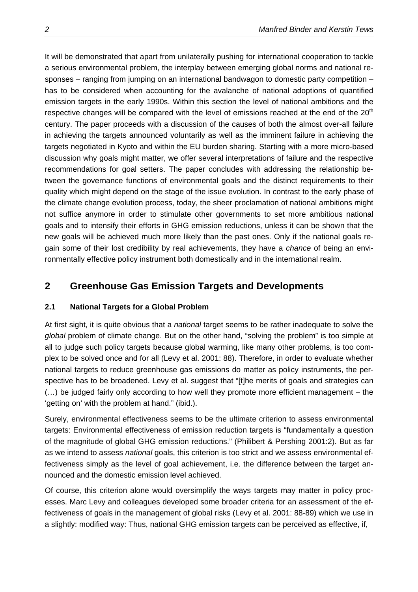<span id="page-7-0"></span>It will be demonstrated that apart from unilaterally pushing for international cooperation to tackle a serious environmental problem, the interplay between emerging global norms and national responses – ranging from jumping on an international bandwagon to domestic party competition – has to be considered when accounting for the avalanche of national adoptions of quantified emission targets in the early 1990s. Within this section the level of national ambitions and the respective changes will be compared with the level of emissions reached at the end of the  $20<sup>th</sup>$ century. The paper proceeds with a discussion of the causes of both the almost over-all failure in achieving the targets announced voluntarily as well as the imminent failure in achieving the targets negotiated in Kyoto and within the EU burden sharing. Starting with a more micro-based discussion why goals might matter, we offer several interpretations of failure and the respective recommendations for goal setters. The paper concludes with addressing the relationship between the governance functions of environmental goals and the distinct requirements to their quality which might depend on the stage of the issue evolution. In contrast to the early phase of the climate change evolution process, today, the sheer proclamation of national ambitions might not suffice anymore in order to stimulate other governments to set more ambitious national goals and to intensify their efforts in GHG emission reductions, unless it can be shown that the new goals will be achieved much more likely than the past ones. Only if the national goals regain some of their lost credibility by real achievements, they have a *chance* of being an environmentally effective policy instrument both domestically and in the international realm.

# **2 Greenhouse Gas Emission Targets and Developments**

## **2.1 National Targets for a Global Problem**

At first sight, it is quite obvious that a *national* target seems to be rather inadequate to solve the *global* problem of climate change. But on the other hand, "solving the problem" is too simple at all to judge such policy targets because global warming, like many other problems, is too complex to be solved once and for all (Levy et al. 2001: 88). Therefore, in order to evaluate whether national targets to reduce greenhouse gas emissions do matter as policy instruments, the perspective has to be broadened. Levy et al. suggest that "[t]he merits of goals and strategies can (…) be judged fairly only according to how well they promote more efficient management – the 'getting on' with the problem at hand." (ibid.).

Surely, environmental effectiveness seems to be the ultimate criterion to assess environmental targets: Environmental effectiveness of emission reduction targets is "fundamentally a question of the magnitude of global GHG emission reductions." (Philibert & Pershing 2001:2). But as far as we intend to assess *national* goals, this criterion is too strict and we assess environmental effectiveness simply as the level of goal achievement, i.e. the difference between the target announced and the domestic emission level achieved.

Of course, this criterion alone would oversimplify the ways targets may matter in policy processes. Marc Levy and colleagues developed some broader criteria for an assessment of the effectiveness of goals in the management of global risks (Levy et al. 2001: 88-89) which we use in a slightly: modified way: Thus, national GHG emission targets can be perceived as effective, if,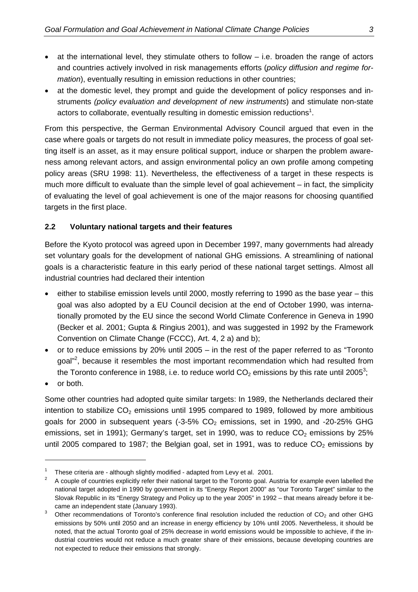- <span id="page-8-0"></span>at the international level, they stimulate others to follow  $-$  i.e. broaden the range of actors and countries actively involved in risk managements efforts (*policy diffusion and regime formation*), eventually resulting in emission reductions in other countries;
- at the domestic level, they prompt and guide the development of policy responses and instruments *(policy evaluation and development of new instruments*) and stimulate non-state actors to collaborate, eventually resulting in domestic emission reductions<sup>[1](#page-8-1)</sup>.

From this perspective, the German Environmental Advisory Council argued that even in the case where goals or targets do not result in immediate policy measures, the process of goal setting itself is an asset, as it may ensure political support, induce or sharpen the problem awareness among relevant actors, and assign environmental policy an own profile among competing policy areas (SRU 1998: 11). Nevertheless, the effectiveness of a target in these respects is much more difficult to evaluate than the simple level of goal achievement – in fact, the simplicity of evaluating the level of goal achievement is one of the major reasons for choosing quantified targets in the first place.

#### **2.2 Voluntary national targets and their features**

Before the Kyoto protocol was agreed upon in December 1997, many governments had already set voluntary goals for the development of national GHG emissions. A streamlining of national goals is a characteristic feature in this early period of these national target settings. Almost all industrial countries had declared their intention

- either to stabilise emission levels until 2000, mostly referring to 1990 as the base year this goal was also adopted by a EU Council decision at the end of October 1990, was internationally promoted by the EU since the second World Climate Conference in Geneva in 1990 (Becker et al. 2001; Gupta & Ringius 2001), and was suggested in 1992 by the Framework Convention on Climate Change (FCCC), Art. 4, 2 a) and b);
- or to reduce emissions by 20% until 2005 in the rest of the paper referred to as "Toronto goal"<sup>[2](#page-8-2)</sup>, because it resembles the most important recommendation which had resulted from the Toronto conference in 1988, i.e. to reduce world  $CO<sub>2</sub>$  emissions by this rate until 2005<sup>[3](#page-8-3)</sup>;
- or both.

Some other countries had adopted quite similar targets: In 1989, the Netherlands declared their intention to stabilize  $CO<sub>2</sub>$  emissions until 1995 compared to 1989, followed by more ambitious goals for 2000 in subsequent years  $(-3.5\%$  CO<sub>2</sub> emissions, set in 1990, and  $-20-25\%$  GHG emissions, set in 1991); Germany's target, set in 1990, was to reduce  $CO<sub>2</sub>$  emissions by 25% until 2005 compared to 1987; the Belgian goal, set in 1991, was to reduce  $CO<sub>2</sub>$  emissions by

<sup>1</sup>

<span id="page-8-2"></span><span id="page-8-1"></span>These criteria are - although slightly modified - adapted from Levy et al. 2001.<br>A couple of countries explicitly refer their national target to the Toronto goal. Austria for example even labelled the national target adopted in 1990 by government in its "Energy Report 2000" as "our Toronto Target" similar to the Slovak Republic in its "Energy Strategy and Policy up to the year 2005" in 1992 – that means already before it became an independent state (January 1993).<br><sup>3</sup> Other recommendations of Toronto's conference final resolution included the reduction of CO<sub>2</sub> and other GHG

<span id="page-8-3"></span>emissions by 50% until 2050 and an increase in energy efficiency by 10% until 2005. Nevertheless, it should be noted, that the actual Toronto goal of 25% decrease in world emissions would be impossible to achieve, if the industrial countries would not reduce a much greater share of their emissions, because developing countries are not expected to reduce their emissions that strongly.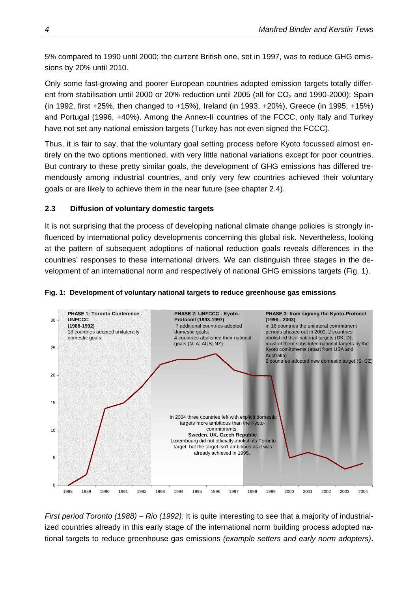<span id="page-9-0"></span>5% compared to 1990 until 2000; the current British one, set in 1997, was to reduce GHG emissions by 20% until 2010.

Only some fast-growing and poorer European countries adopted emission targets totally different from stabilisation until 2000 or 20% reduction until 2005 (all for  $CO<sub>2</sub>$  and 1990-2000): Spain (in 1992, first +25%, then changed to +15%), Ireland (in 1993, +20%), Greece (in 1995, +15%) and Portugal (1996, +40%). Among the Annex-II countries of the FCCC, only Italy and Turkey have not set any national emission targets (Turkey has not even signed the FCCC).

Thus, it is fair to say, that the voluntary goal setting process before Kyoto focussed almost entirely on the two options mentioned, with very little national variations except for poor countries. But contrary to these pretty similar goals, the development of GHG emissions has differed tremendously among industrial countries, and only very few countries achieved their voluntary goals or are likely to achieve them in the near future (see chapter 2.4).

#### **2.3 Diffusion of voluntary domestic targets**

It is not surprising that the process of developing national climate change policies is strongly influenced by international policy developments concerning this global risk. Nevertheless, looking at the pattern of subsequent adoptions of national reduction goals reveals differences in the countries' responses to these international drivers. We can distinguish three stages in the development of an international norm and respectively of national GHG emissions targets ([Fig. 1\)](#page-9-1).



#### <span id="page-9-1"></span>**Fig. 1: Development of voluntary national targets to reduce greenhouse gas emissions**

*First period Toronto (1988) – Rio (1992):* It is quite interesting to see that a majority of industrialized countries already in this early stage of the international norm building process adopted national targets to reduce greenhouse gas emissions *(example setters and early norm adopters)*.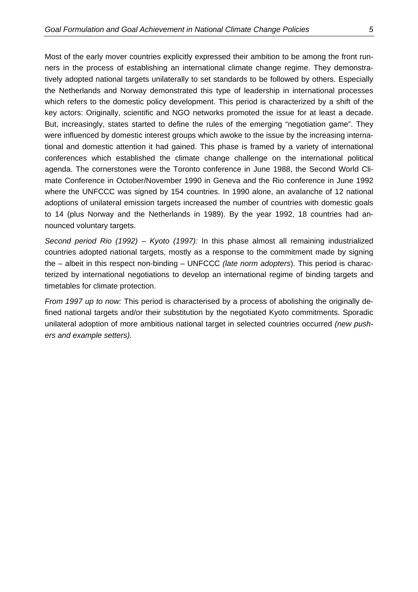Most of the early mover countries explicitly expressed their ambition to be among the front runners in the process of establishing an international climate change regime. They demonstratively adopted national targets unilaterally to set standards to be followed by others. Especially the Netherlands and Norway demonstrated this type of leadership in international processes which refers to the domestic policy development. This period is characterized by a shift of the key actors: Originally, scientific and NGO networks promoted the issue for at least a decade. But, increasingly, states started to define the rules of the emerging "negotiation game". They were influenced by domestic interest groups which awoke to the issue by the increasing international and domestic attention it had gained. This phase is framed by a variety of international conferences which established the climate change challenge on the international political agenda. The cornerstones were the Toronto conference in June 1988, the Second World Climate Conference in October/November 1990 in Geneva and the Rio conference in June 1992 where the UNFCCC was signed by 154 countries. In 1990 alone, an avalanche of 12 national adoptions of unilateral emission targets increased the number of countries with domestic goals to 14 (plus Norway and the Netherlands in 1989). By the year 1992, 18 countries had announced voluntary targets.

*Second period Rio (1992) – Kyoto (1997):* In this phase almost all remaining industrialized countries adopted national targets, mostly as a response to the commitment made by signing the – albeit in this respect non-binding – UNFCCC *(late norm adopters*). This period is characterized by international negotiations to develop an international regime of binding targets and timetables for climate protection.

*From 1997 up to now:* This period is characterised by a process of abolishing the originally defined national targets and/or their substitution by the negotiated Kyoto commitments. Sporadic unilateral adoption of more ambitious national target in selected countries occurred *(new pushers and example setters).*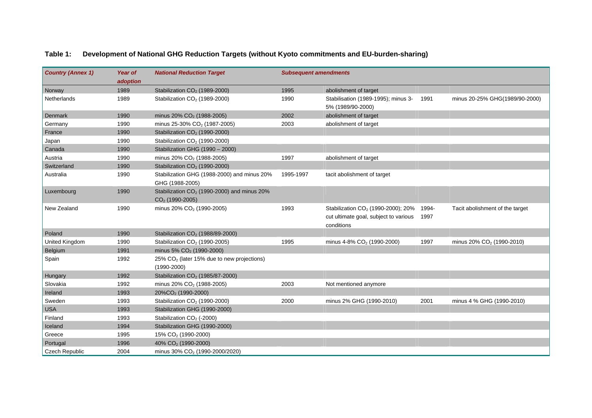| <b>Country (Annex 1)</b> | <b>Year of</b><br>adoption | <b>National Reduction Target</b>                                             | <b>Subsequent amendments</b> |                                                                                                       |               |                                       |
|--------------------------|----------------------------|------------------------------------------------------------------------------|------------------------------|-------------------------------------------------------------------------------------------------------|---------------|---------------------------------------|
| Norway                   | 1989                       | Stabilization CO <sub>2</sub> (1989-2000)                                    | 1995                         | abolishment of target                                                                                 |               |                                       |
| <b>Netherlands</b>       | 1989                       | Stabilization CO <sub>2</sub> (1989-2000)                                    | 1990                         | Stabilisation (1989-1995); minus 3-<br>5% (1989/90-2000)                                              | 1991          | minus 20-25% GHG(1989/90-2000)        |
| Denmark                  | 1990                       | minus 20% CO <sub>2</sub> (1988-2005)                                        | 2002                         | abolishment of target                                                                                 |               |                                       |
| Germany                  | 1990                       | minus 25-30% CO <sub>2</sub> (1987-2005)                                     | 2003                         | abolishment of target                                                                                 |               |                                       |
| France                   | 1990                       | Stabilization CO <sub>2</sub> (1990-2000)                                    |                              |                                                                                                       |               |                                       |
| Japan                    | 1990                       | Stabilization CO <sub>2</sub> (1990-2000)                                    |                              |                                                                                                       |               |                                       |
| Canada                   | 1990                       | Stabilization GHG (1990 - 2000)                                              |                              |                                                                                                       |               |                                       |
| Austria                  | 1990                       | minus 20% CO <sub>2</sub> (1988-2005)                                        | 1997                         | abolishment of target                                                                                 |               |                                       |
| Switzerland              | 1990                       | Stabilization CO <sub>2</sub> (1990-2000)                                    |                              |                                                                                                       |               |                                       |
| Australia                | 1990                       | Stabilization GHG (1988-2000) and minus 20%<br>GHG (1988-2005)               | 1995-1997                    | tacit abolishment of target                                                                           |               |                                       |
| Luxembourg               | 1990                       | Stabilization $CO2$ (1990-2000) and minus 20%<br>$CO2$ (1990-2005)           |                              |                                                                                                       |               |                                       |
| New Zealand              | 1990                       | minus 20% CO <sub>2</sub> (1990-2005)                                        | 1993                         | Stabilization CO <sub>2</sub> (1990-2000); 20%<br>cut ultimate goal, subject to various<br>conditions | 1994-<br>1997 | Tacit abolishment of the target       |
| Poland                   | 1990                       | Stabilization CO <sub>2</sub> (1988/89-2000)                                 |                              |                                                                                                       |               |                                       |
| United Kingdom           | 1990                       | Stabilization CO <sub>2</sub> (1990-2005)                                    | 1995                         | minus 4-8% $CO2$ (1990-2000)                                                                          | 1997          | minus 20% CO <sub>2</sub> (1990-2010) |
| Belgium                  | 1991                       | minus 5% $CO2$ (1990-2000)                                                   |                              |                                                                                                       |               |                                       |
| Spain                    | 1992                       | $25\%$ CO <sub>2</sub> (later 15% due to new projections)<br>$(1990 - 2000)$ |                              |                                                                                                       |               |                                       |
| Hungary                  | 1992                       | Stabilization CO <sub>2</sub> (1985/87-2000)                                 |                              |                                                                                                       |               |                                       |
| Slovakia                 | 1992                       | minus 20% CO <sub>2</sub> (1988-2005)                                        | 2003                         | Not mentioned anymore                                                                                 |               |                                       |
| Ireland                  | 1993                       | 20%CO <sub>2</sub> (1990-2000)                                               |                              |                                                                                                       |               |                                       |
| Sweden                   | 1993                       | Stabilization CO <sub>2</sub> (1990-2000)                                    | 2000                         | minus 2% GHG (1990-2010)                                                                              | 2001          | minus 4 % GHG (1990-2010)             |
| <b>USA</b>               | 1993                       | Stabilization GHG (1990-2000)                                                |                              |                                                                                                       |               |                                       |
| Finland                  | 1993                       | Stabilization CO <sub>2</sub> (-2000)                                        |                              |                                                                                                       |               |                                       |
| Iceland                  | 1994                       | Stabilization GHG (1990-2000)                                                |                              |                                                                                                       |               |                                       |
| Greece                   | 1995                       | 15% CO <sub>2</sub> (1990-2000)                                              |                              |                                                                                                       |               |                                       |
| Portugal                 | 1996                       | 40% CO <sub>2</sub> (1990-2000)                                              |                              |                                                                                                       |               |                                       |
| <b>Czech Republic</b>    | 2004                       | minus 30% CO <sub>2</sub> (1990-2000/2020)                                   |                              |                                                                                                       |               |                                       |

#### **Table 1: Development of National GHG Reduction Targets (without Kyoto commitments and EU-burden-sharing)**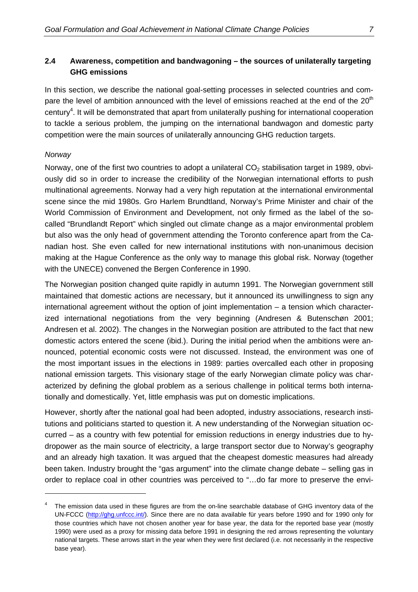#### <span id="page-12-0"></span>**2.4 Awareness, competition and bandwagoning – the sources of unilaterally targeting GHG emissions**

In this section, we describe the national goal-setting processes in selected countries and compare the level of ambition announced with the level of emissions reached at the end of the 20<sup>th</sup> century<sup>[4](#page-12-1)</sup>. It will be demonstrated that apart from unilaterally pushing for international cooperation to tackle a serious problem, the jumping on the international bandwagon and domestic party competition were the main sources of unilaterally announcing GHG reduction targets.

#### *Norway*

Norway, one of the first two countries to adopt a unilateral  $CO<sub>2</sub>$  stabilisation target in 1989, obviously did so in order to increase the credibility of the Norwegian international efforts to push multinational agreements. Norway had a very high reputation at the international environmental scene since the mid 1980s. Gro Harlem Brundtland, Norway's Prime Minister and chair of the World Commission of Environment and Development, not only firmed as the label of the socalled "Brundlandt Report" which singled out climate change as a major environmental problem but also was the only head of government attending the Toronto conference apart from the Canadian host. She even called for new international institutions with non-unanimous decision making at the Hague Conference as the only way to manage this global risk. Norway (together with the UNECE) convened the Bergen Conference in 1990.

The Norwegian position changed quite rapidly in autumn 1991. The Norwegian government still maintained that domestic actions are necessary, but it announced its unwillingness to sign any international agreement without the option of joint implementation – a tension which characterized international negotiations from the very beginning (Andresen & Butenschøn 2001; Andresen et al. 2002). The changes in the Norwegian position are attributed to the fact that new domestic actors entered the scene (ibid.). During the initial period when the ambitions were announced, potential economic costs were not discussed. Instead, the environment was one of the most important issues in the elections in 1989: parties overcalled each other in proposing national emission targets. This visionary stage of the early Norwegian climate policy was characterized by defining the global problem as a serious challenge in political terms both internationally and domestically. Yet, little emphasis was put on domestic implications.

However, shortly after the national goal had been adopted, industry associations, research institutions and politicians started to question it. A new understanding of the Norwegian situation occurred – as a country with few potential for emission reductions in energy industries due to hydropower as the main source of electricity, a large transport sector due to Norway's geography and an already high taxation. It was argued that the cheapest domestic measures had already been taken. Industry brought the "gas argument" into the climate change debate – selling gas in order to replace coal in other countries was perceived to "…do far more to preserve the envi-

<span id="page-12-1"></span>The emission data used in these figures are from the on-line searchable database of GHG inventory data of the UN-FCCC [\(http://ghg.unfccc.int/\)](http://ghg.unfccc.int/). Since there are no data available für years before 1990 and for 1990 only for those countries which have not chosen another year for base year, the data for the reported base year (mostly 1990) were used as a proxy for missing data before 1991 in designing the red arrows representing the voluntary national targets. These arrows start in the year when they were first declared (i.e. not necessarily in the respective base year).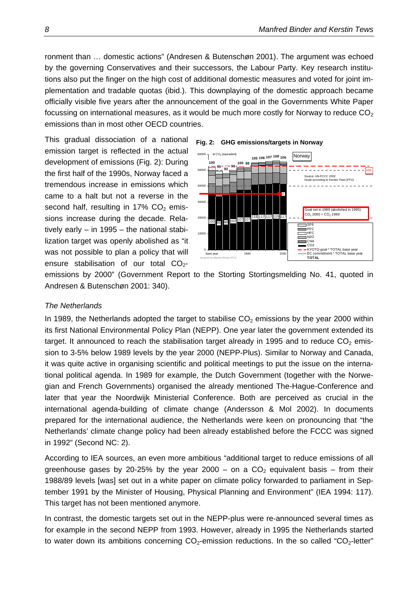<span id="page-13-0"></span>ronment than … domestic actions" (Andresen & Butenschøn 2001). The argument was echoed by the governing Conservatives and their successors, the Labour Party. Key research institutions also put the finger on the high cost of additional domestic measures and voted for joint implementation and tradable quotas (ibid.). This downplaying of the domestic approach became officially visible five years after the announcement of the goal in the Governments White Paper focussing on international measures, as it would be much more costly for Norway to reduce  $CO<sub>2</sub>$ emissions than in most other OECD countries.

This gradual dissociation of a national emission target is reflected in the actual development of emissions (Fi[g. 2\): Du](#page-13-1)ring the first half of the 1990s, Norway faced a tremendous increase in emissions which came to a halt but not a reverse in the second half, resulting in  $17\%$  CO<sub>2</sub> emissions increase during the decade. Relatively early – in 1995 – the national stabilization target was openly abolished as "it was not possible to plan a policy that will ensure stabilisation of our total  $CO<sub>2</sub>$ -

<span id="page-13-1"></span>



emissions by 2000" (Government Report to the Storting Stortingsmelding No. 41, quoted in Andresen & Butenschøn 2001: 340).

#### *The Netherlands*

In 1989, the Netherlands adopted the target to stabilise  $CO<sub>2</sub>$  emissions by the year 2000 within its first National Environmental Policy Plan (NEPP). One year later the government extended its target. It announced to reach the stabilisation target already in 1995 and to reduce  $CO<sub>2</sub>$  emission to 3-5% below 1989 levels by the year 2000 (NEPP-Plus). Similar to Norway and Canada, it was quite active in organising scientific and political meetings to put the issue on the international political agenda. In 1989 for example, the Dutch Government (together with the Norwegian and French Governments) organised the already mentioned The-Hague-Conference and later that year the Noordwijk Ministerial Conference. Both are perceived as crucial in the international agenda-building of climate change (Andersson & Mol 2002). In documents prepared for the international audience, the Netherlands were keen on pronouncing that "the Netherlands' climate change policy had been already established before the FCCC was signed in 1992" (Second NC: 2).

According to IEA sources, an even more ambitious "additional target to reduce emissions of all greenhouse gases by 20-25% by the year 2000 – on a  $CO<sub>2</sub>$  equivalent basis – from their 1988/89 levels [was] set out in a white paper on climate policy forwarded to parliament in September 1991 by the Minister of Housing, Physical Planning and Environment" (IEA 1994: 117). This target has not been mentioned anymore.

In contrast, the domestic targets set out in the NEPP-plus were re-announced several times as for example in the second NEPP from 1993. However, already in 1995 the Netherlands started to water down its ambitions concerning  $CO_2$ -emission reductions. In the so called "CO<sub>2</sub>-letter"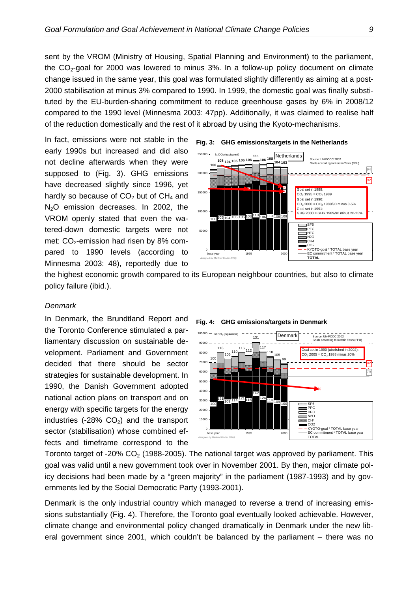<span id="page-14-0"></span>sent by the VROM (Ministry of Housing, Spatial Planning and Environment) to the parliament, the  $CO<sub>2</sub>$ -goal for 2000 was lowered to minus 3%. In a follow-up policy document on climate change issued in the same year, this goal was formulated slightly differently as aiming at a post-2000 stabilisation at minus 3% compared to 1990. In 1999, the domestic goal was finally substituted by the EU-burden-sharing commitment to reduce greenhouse gases by 6% in 2008/12 compared to the 1990 level (Minnesma 2003: 47pp). Additionally, it was claimed to realise half of the reduction domestically and the rest of it abroad by using the Kyoto-mechanisms.

In fact, emissions were not stable in the early 1990s but increased and did also not decline afterwards when they were supposed to [\(Fig. 3](#page-14-1)). GHG emissions have decreased slightly since 1996, yet hardly so because of  $CO<sub>2</sub>$  but of  $CH<sub>4</sub>$  and  $N<sub>2</sub>O$  emission decreases. In 2002, the VROM openly stated that even the watered-down domestic targets were not met:  $CO<sub>2</sub>$ -emission had risen by 8% compared to 1990 levels (according to Minnesma 2003: 48), reportedly due to

<span id="page-14-1"></span>



the highest economic growth compared to its European neighbour countries, but also to climate policy failure (ibid.).

#### *Denmark*

In Denmark, the Brundtland Report and the Toronto Conference stimulated a parliamentary discussion on sustainable development. Parliament and Government decided that there should be sector strategies for sustainable development. In 1990, the Danish Government adopted national action plans on transport and on energy with specific targets for the energy industries (-28%  $CO<sub>2</sub>$ ) and the transport sector (stabilisation) whose combined effects and timeframe correspond to the

<span id="page-14-2"></span>**Fig. 4: GHG emissions/targets in Denmark** 



Toronto target of -20%  $CO<sub>2</sub>$  (1988-2005). The national target was approved by parliament. This goal was valid until a new government took over in November 2001. By then, major climate policy decisions had been made by a "green majority" in the parliament (1987-1993) and by governments led by the Social Democratic Party (1993-2001).

Denmark is the only industrial country which managed to reverse a trend of increasing emissions substantially ([Fig. 4\)](#page-14-2). Therefore, the Toronto goal eventually looked achievable. However, climate change and environmental policy changed dramatically in Denmark under the new liberal government since 2001, which couldn't be balanced by the parliament – there was no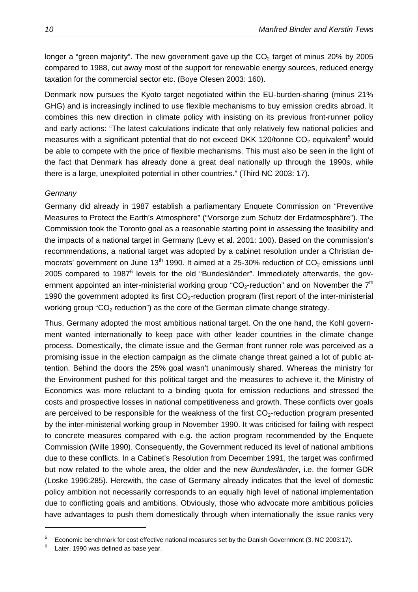<span id="page-15-0"></span>longer a "green majority". The new government gave up the  $CO<sub>2</sub>$  target of minus 20% by 2005 compared to 1988, cut away most of the support for renewable energy sources, reduced energy taxation for the commercial sector etc. (Boye Olesen 2003: 160).

Denmark now pursues the Kyoto target negotiated within the EU-burden-sharing (minus 21% GHG) and is increasingly inclined to use flexible mechanisms to buy emission credits abroad. It combines this new direction in climate policy with insisting on its previous front-runner policy and early actions: "The latest calculations indicate that only relatively few national policies and measures with a significant potential that do not exceed DKK 120/tonne CO<sub>2</sub> equivalent<sup>[5](#page-15-1)</sup> would be able to compete with the price of flexible mechanisms. This must also be seen in the light of the fact that Denmark has already done a great deal nationally up through the 1990s, while there is a large, unexploited potential in other countries." (Third NC 2003: 17).

#### *Germany*

Germany did already in 1987 establish a parliamentary Enquete Commission on "Preventive Measures to Protect the Earth's Atmosphere" ("Vorsorge zum Schutz der Erdatmosphäre"). The Commission took the Toronto goal as a reasonable starting point in assessing the feasibility and the impacts of a national target in Germany (Levy et al. 2001: 100). Based on the commission's recommendations, a national target was adopted by a cabinet resolution under a Christian democrats' government on June 13<sup>th</sup> 1990. It aimed at a 25-30% reduction of  $CO<sub>2</sub>$  emissions until 2005 compared to 1987<sup>[6](#page-15-2)</sup> levels for the old "Bundesländer". Immediately afterwards, the government appointed an inter-ministerial working group "CO<sub>2</sub>-reduction" and on November the  $7<sup>th</sup>$ 1990 the government adopted its first  $CO<sub>2</sub>$ -reduction program (first report of the inter-ministerial working group " $CO<sub>2</sub>$  reduction") as the core of the German climate change strategy.

Thus, Germany adopted the most ambitious national target. On the one hand, the Kohl government wanted internationally to keep pace with other leader countries in the climate change process. Domestically, the climate issue and the German front runner role was perceived as a promising issue in the election campaign as the climate change threat gained a lot of public attention. Behind the doors the 25% goal wasn't unanimously shared. Whereas the ministry for the Environment pushed for this political target and the measures to achieve it, the Ministry of Economics was more reluctant to a binding quota for emission reductions and stressed the costs and prospective losses in national competitiveness and growth. These conflicts over goals are perceived to be responsible for the weakness of the first  $CO_2$ -reduction program presented by the inter-ministerial working group in November 1990. It was criticised for failing with respect to concrete measures compared with e.g. the action program recommended by the Enquete Commission (Wille 1990). Consequently, the Government reduced its level of national ambitions due to these conflicts. In a Cabinet's Resolution from December 1991, the target was confirmed but now related to the whole area, the older and the new *Bundesländer*, i.e. the former GDR (Loske 1996:285). Herewith, the case of Germany already indicates that the level of domestic policy ambition not necessarily corresponds to an equally high level of national implementation due to conflicting goals and ambitions. Obviously, those who advocate more ambitious policies have advantages to push them domestically through when internationally the issue ranks very

<span id="page-15-1"></span><sup>5</sup> Economic benchmark for cost effective national measures set by the Danish Government (3. NC 2003:17).

<span id="page-15-2"></span>Later, 1990 was defined as base year.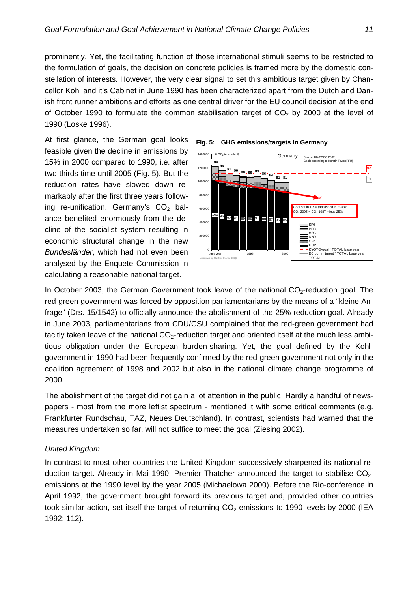<span id="page-16-0"></span>prominently. Yet, the facilitating function of those international stimuli seems to be restricted to the formulation of goals, the decision on concrete policies is framed more by the domestic constellation of interests. However, the very clear signal to set this ambitious target given by Chancellor Kohl and it's Cabinet in June 1990 has been characterized apart from the Dutch and Danish front runner ambitions and efforts as one central driver for the EU council decision at the end of October 1990 to formulate the common stabilisation target of  $CO<sub>2</sub>$  by 2000 at the level of 1990 (Loske 1996).

At first glance, the German goal looks feasible given the decline in emissions by 15% in 2000 compared to 1990, i.e. after two thirds time until 2005 ([Fig. 5\).](#page-16-1) But the reduction rates have slowed down remarkably after the first three years following re-unification. Germany's  $CO<sub>2</sub>$  balance benefited enormously from the decline of the socialist system resulting in economic structural change in the new *Bundesländer*, which had not even been analysed by the Enquete Commission in calculating a reasonable national target.

<span id="page-16-1"></span>



In October 2003, the German Government took leave of the national CO2-reduction goal. The red-green government was forced by opposition parliamentarians by the means of a "kleine Anfrage" (Drs. 15/1542) to officially announce the abolishment of the 25% reduction goal. Already in June 2003, parliamentarians from CDU/CSU complained that the red-green government had tacitly taken leave of the national  $CO<sub>2</sub>$ -reduction target and oriented itself at the much less ambitious obligation under the European burden-sharing. Yet, the goal defined by the Kohlgovernment in 1990 had been frequently confirmed by the red-green government not only in the coalition agreement of 1998 and 2002 but also in the national climate change programme of 2000.

The abolishment of the target did not gain a lot attention in the public. Hardly a handful of newspapers - most from the more leftist spectrum - mentioned it with some critical comments (e.g. Frankfurter Rundschau, TAZ, Neues Deutschland). In contrast, scientists had warned that the measures undertaken so far, will not suffice to meet the goal (Ziesing 2002).

#### *United Kingdom*

In contrast to most other countries the United Kingdom successively sharpened its national reduction target. Already in Mai 1990, Premier Thatcher announced the target to stabilise  $CO<sub>2</sub>$ emissions at the 1990 level by the year 2005 (Michaelowa 2000). Before the Rio-conference in April 1992, the government brought forward its previous target and, provided other countries took similar action, set itself the target of returning  $CO<sub>2</sub>$  emissions to 1990 levels by 2000 (IEA 1992: 112).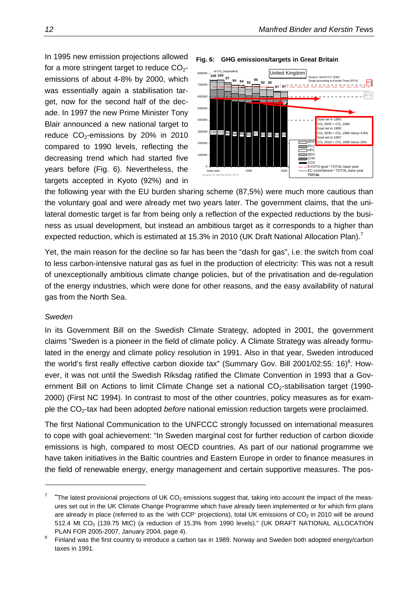<span id="page-17-0"></span>In 1995 new emission projections allowed for a more stringent target to reduce  $CO_{2}$ emissions of about 4-8% by 2000, which was essentially again a stabilisation target, now for the second half of the decade. In 1997 the new Prime Minister Tony Blair announced a new national target to reduce  $CO<sub>2</sub>$ -emissions by 20% in 2010 compared to 1990 levels, reflecting the decreasing trend which had started five years before [\(Fig. 6](#page-17-1)). Nevertheless, the targets accepted in Kyoto (92%) and in

#### <span id="page-17-1"></span>**Fig. 6: GHG emissions/targets in Great Britain**



the following year with the EU burden sharing scheme (87,5%) were much more cautious than the voluntary goal and were already met two years later. The government claims, that the unilateral domestic target is far from being only a reflection of the expected reductions by the business as usual development, but instead an ambitious target as it corresponds to a higher than expected reduction, which is estimated at 15.3% in 2010 (UK Draft National Allocation Plan).<sup>[7](#page-17-2)</sup>

Yet, the main reason for the decline so far has been the "dash for gas", i.e. the switch from coal to less carbon-intensive natural gas as fuel in the production of electricity: This was not a result of unexceptionally ambitious climate change policies, but of the privatisation and de-regulation of the energy industries, which were done for other reasons, and the easy availability of natural gas from the North Sea.

#### *Sweden*

In its Government Bill on the Swedish Climate Strategy, adopted in 2001, the government claims "Sweden is a pioneer in the field of climate policy. A Climate Strategy was already formulated in the energy and climate policy resolution in 1991. Also in that year, Sweden introduced the world's first really effective carbon dioxide tax" (Summary Gov. Bill 2001/02:55: 16)<sup>[8](#page-17-3)</sup>. However, it was not until the Swedish Riksdag ratified the Climate Convention in 1993 that a Government Bill on Actions to limit Climate Change set a national CO<sub>2</sub>-stabilisation target (1990-2000) (First NC 1994). In contrast to most of the other countries, policy measures as for example the CO2-tax had been adopted *before* national emission reduction targets were proclaimed.

The first National Communication to the UNFCCC strongly focussed on international measures to cope with goal achievement: "In Sweden marginal cost for further reduction of carbon dioxide emissions is high, compared to most OECD countries. As part of our national programme we have taken initiatives in the Baltic countries and Eastern Europe in order to finance measures in the field of renewable energy, energy management and certain supportive measures. The pos-

<span id="page-17-2"></span><sup>7</sup> "The latest provisional projections of UK  $CO<sub>2</sub>$  emissions suggest that, taking into account the impact of the measures set out in the UK Climate Change Programme which have already been implemented or for which firm plans are already in place (referred to as the 'with CCP' projections), total UK emissions of  $CO<sub>2</sub>$  in 2010 will be around 512.4 Mt CO<sub>2</sub> (139.75 MtC) (a reduction of 15.3% from 1990 levels)." (UK DRAFT NATIONAL ALLOCATION

<span id="page-17-3"></span>PLAN FOR 2005-2007, January 2004, page 4).<br><sup>8</sup> Finland was the first country to introduce a carbon tax in 1989. Norway and Sweden both adopted energy/carbon taxes in 1991.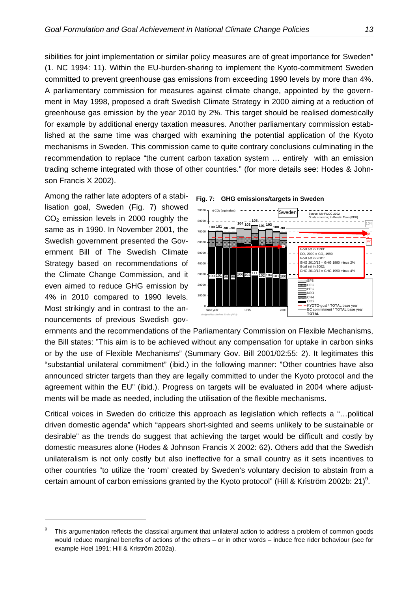sibilities for joint implementation or similar policy measures are of great importance for Sweden" (1. NC 1994: 11). Within the EU-burden-sharing to implement the Kyoto-commitment Sweden committed to prevent greenhouse gas emissions from exceeding 1990 levels by more than 4%. A parliamentary commission for measures against climate change, appointed by the government in May 1998, proposed a draft Swedish Climate Strategy in 2000 aiming at a reduction of greenhouse gas emission by the year 2010 by 2%. This target should be realised domestically for example by additional energy taxation measures. Another parliamentary commission established at the same time was charged with examining the potential application of the Kyoto mechanisms in Sweden. This commission came to quite contrary conclusions culminating in the recommendation to replace "the current carbon taxation system … entirely with an emission trading scheme integrated with those of other countries." (for more details see: Hodes & Johnson Francis X 2002).

Among the rather late adopters of a stabilisation goal, Swede[n \(Fig.](#page-18-0) 7) showed  $CO<sub>2</sub>$  emission levels in 2000 roughly the same as in 1990. In November 2001, the Swedish government presented the Government Bill of The Swedish Climate Strategy based on recommendations of the Climate Change Commission, and it even aimed to reduce GHG emission by 4% in 2010 compared to 1990 levels. Most strikingly and in contrast to the announcements of previous Swedish gov-

<span id="page-18-0"></span>



ernments and the recommendations of the Parliamentary Commission on Flexible Mechanisms, the Bill states: "This aim is to be achieved without any compensation for uptake in carbon sinks or by the use of Flexible Mechanisms" (Summary Gov. Bill 2001/02:55: 2). It legitimates this "substantial unilateral commitment" (ibid.) in the following manner: "Other countries have also announced stricter targets than they are legally committed to under the Kyoto protocol and the agreement within the EU" (ibid.). Progress on targets will be evaluated in 2004 where adjustments will be made as needed, including the utilisation of the flexible mechanisms.

Critical voices in Sweden do criticize this approach as legislation which reflects a "…political driven domestic agenda" which "appears short-sighted and seems unlikely to be sustainable or desirable" as the trends do suggest that achieving the target would be difficult and costly by domestic measures alone (Hodes & Johnson Francis X 2002: 62). Others add that the Swedish unilateralism is not only costly but also ineffective for a small country as it sets incentives to other countries "to utilize the 'room' created by Sweden's voluntary decision to abstain from a certain amount of carbon emissions granted by the Kyoto protocol" (Hill & Kriström 2002b: 21)<sup>[9](#page-18-1)</sup>.

<span id="page-18-1"></span> $9$  This argumentation reflects the classical argument that unilateral action to address a problem of common goods would reduce marginal benefits of actions of the others – or in other words – induce free rider behaviour (see for example Hoel 1991; Hill & Kriström 2002a).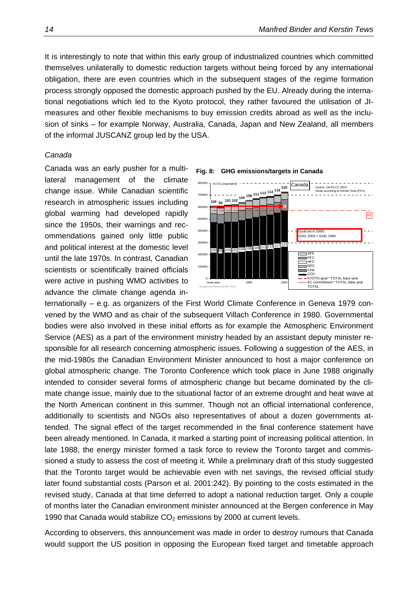<span id="page-19-0"></span>It is interestingly to note that within this early group of industrialized countries which committed themselves unilaterally to domestic reduction targets without being forced by any international obligation, there are even countries which in the subsequent stages of the regime formation process strongly opposed the domestic approach pushed by the EU. Already during the international negotiations which led to the Kyoto protocol, they rather favoured the utilisation of JImeasures and other flexible mechanisms to buy emission credits abroad as well as the inclusion of sinks – for example Norway, Australia, Canada, Japan and New Zealand, all members of the informal JUSCANZ group led by the USA.

#### *Canada*

Canada was an early pusher for a multilateral management of the climate change issue. While Canadian scientific research in atmospheric issues including global warming had developed rapidly since the 1950s, their warnings and recommendations gained only little public and political interest at the domestic level until the late 1970s. In contrast, Canadian scientists or scientifically trained officials were active in pushing WMO activities to advance the climate change agenda in-

<span id="page-19-1"></span>

ternationally – e.g. as organizers of the First World Climate Conference in Geneva 1979 convened by the WMO and as chair of the subsequent Villach Conference in 1980. Governmental bodies were also involved in these initial efforts as for example the Atmospheric Environment Service (AES) as a part of the environment ministry headed by an assistant deputy minister responsible for all research concerning atmospheric issues. Following a suggestion of the AES, in the mid-1980s the Canadian Environment Minister announced to host a major conference on global atmospheric change. The Toronto Conference which took place in June 1988 originally intended to consider several forms of atmospheric change but became dominated by the climate change issue, mainly due to the situational factor of an extreme drought and heat wave at the North American continent in this summer. Though not an official international conference, additionally to scientists and NGOs also representatives of about a dozen governments attended. The signal effect of the target recommended in the final conference statement have been already mentioned. In Canada, it marked a starting point of increasing political attention. In late 1988, the energy minister formed a task force to review the Toronto target and commissioned a study to assess the cost of meeting it. While a preliminary draft of this study suggested that the Toronto target would be achievable even with net savings, the revised official study later found substantial costs (Parson et al. 2001:242). By pointing to the costs estimated in the revised study, Canada at that time deferred to adopt a national reduction target. Only a couple of months later the Canadian environment minister announced at the Bergen conference in May 1990 that Canada would stabilize  $CO<sub>2</sub>$  emissions by 2000 at current levels.

According to observers, this announcement was made in order to destroy rumours that Canada would support the US position in opposing the European fixed target and timetable approach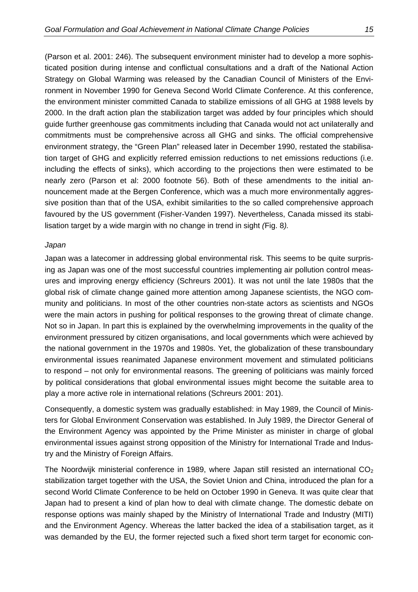<span id="page-20-0"></span>(Parson et al. 2001: 246). The subsequent environment minister had to develop a more sophisticated position during intense and conflictual consultations and a draft of the National Action Strategy on Global Warming was released by the Canadian Council of Ministers of the Environment in November 1990 for Geneva Second World Climate Conference. At this conference, the environment minister committed Canada to stabilize emissions of all GHG at 1988 levels by 2000. In the draft action plan the stabilization target was added by four principles which should guide further greenhouse gas commitments including that Canada would not act unilaterally and commitments must be comprehensive across all GHG and sinks. The official comprehensive environment strategy, the "Green Plan" released later in December 1990, restated the stabilisation target of GHG and explicitly referred emission reductions to net emissions reductions (i.e. including the effects of sinks), which according to the projections then were estimated to be nearly zero (Parson et al: 2000 footnote 56). Both of these amendments to the initial announcement made at the Bergen Conference, which was a much more environmentally aggres-

sive position than that of the USA, exhibit similarities to the so called comprehensive approach favoured by the US government (Fisher-Vanden 1997). Nevertheless, Canada missed its stabilisation target by a wide margin with no change in trend in sight *(*[Fig. 8](#page-19-1)*).*

#### *Japan*

Japan was a latecomer in addressing global environmental risk. This seems to be quite surprising as Japan was one of the most successful countries implementing air pollution control measures and improving energy efficiency (Schreurs 2001). It was not until the late 1980s that the global risk of climate change gained more attention among Japanese scientists, the NGO community and politicians. In most of the other countries non-state actors as scientists and NGOs were the main actors in pushing for political responses to the growing threat of climate change. Not so in Japan. In part this is explained by the overwhelming improvements in the quality of the environment pressured by citizen organisations, and local governments which were achieved by the national government in the 1970s and 1980s. Yet, the globalization of these transboundary environmental issues reanimated Japanese environment movement and stimulated politicians to respond – not only for environmental reasons. The greening of politicians was mainly forced by political considerations that global environmental issues might become the suitable area to play a more active role in international relations (Schreurs 2001: 201).

Consequently, a domestic system was gradually established: in May 1989, the Council of Ministers for Global Environment Conservation was established. In July 1989, the Director General of the Environment Agency was appointed by the Prime Minister as minister in charge of global environmental issues against strong opposition of the Ministry for International Trade and Industry and the Ministry of Foreign Affairs.

The Noordwijk ministerial conference in 1989, where Japan still resisted an international  $CO<sub>2</sub>$ stabilization target together with the USA, the Soviet Union and China, introduced the plan for a second World Climate Conference to be held on October 1990 in Geneva. It was quite clear that Japan had to present a kind of plan how to deal with climate change. The domestic debate on response options was mainly shaped by the Ministry of International Trade and Industry (MITI) and the Environment Agency. Whereas the latter backed the idea of a stabilisation target, as it was demanded by the EU, the former rejected such a fixed short term target for economic con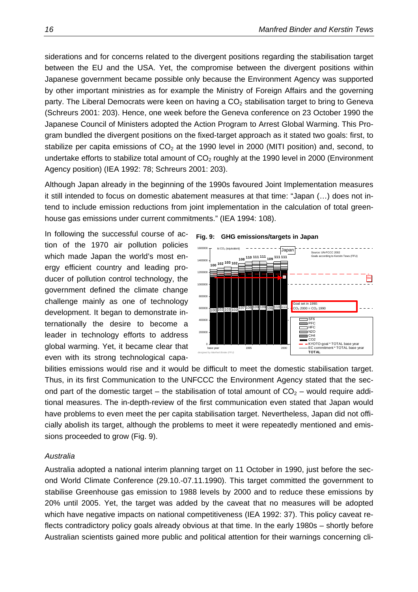<span id="page-21-0"></span>siderations and for concerns related to the divergent positions regarding the stabilisation target between the EU and the USA. Yet, the compromise between the divergent positions within Japanese government became possible only because the Environment Agency was supported by other important ministries as for example the Ministry of Foreign Affairs and the governing party. The Liberal Democrats were keen on having a  $CO<sub>2</sub>$  stabilisation target to bring to Geneva (Schreurs 2001: 203). Hence, one week before the Geneva conference on 23 October 1990 the Japanese Council of Ministers adopted the Action Program to Arrest Global Warming. This Program bundled the divergent positions on the fixed-target approach as it stated two goals: first, to stabilize per capita emissions of  $CO<sub>2</sub>$  at the 1990 level in 2000 (MITI position) and, second, to undertake efforts to stabilize total amount of  $CO<sub>2</sub>$  roughly at the 1990 level in 2000 (Environment Agency position) (IEA 1992: 78; Schreurs 2001: 203).

Although Japan already in the beginning of the 1990s favoured Joint Implementation measures it still intended to focus on domestic abatement measures at that time: "Japan (…) does not intend to include emission reductions from joint implementation in the calculation of total greenhouse gas emissions under current commitments." (IEA 1994: 108).

In following the successful course of action of the 1970 air pollution policies which made Japan the world's most energy efficient country and leading producer of pollution control technology, the government defined the climate change challenge mainly as one of technology development. It began to demonstrate internationally the desire to become a leader in technology efforts to address global warming. Yet, it became clear that even with its strong technological capa-

<span id="page-21-1"></span>



bilities emissions would rise and it would be difficult to meet the domestic stabilisation target. Thus, in its first Communication to the UNFCCC the Environment Agency stated that the second part of the domestic target – the stabilisation of total amount of  $CO<sub>2</sub>$  – would require additional measures. The in-depth-review of the first communication even stated that Japan would have problems to even meet the per capita stabilisation target. Nevertheless, Japan did not officially abolish its target, although the problems to meet it were repeatedly mentioned and emissions proceeded to grow ([Fig. 9\)](#page-21-1).

#### *Australia*

Australia adopted a national interim planning target on 11 October in 1990, just before the second World Climate Conference (29.10.-07.11.1990). This target committed the government to stabilise Greenhouse gas emission to 1988 levels by 2000 and to reduce these emissions by 20% until 2005. Yet, the target was added by the caveat that no measures will be adopted which have negative impacts on national competitiveness (IEA 1992: 37). This policy caveat reflects contradictory policy goals already obvious at that time. In the early 1980s – shortly before Australian scientists gained more public and political attention for their warnings concerning cli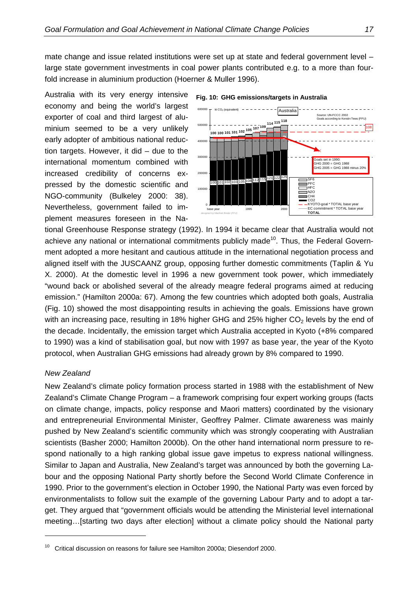<span id="page-22-0"></span>mate change and issue related institutions were set up at state and federal government level – large state government investments in coal power plants contributed e.g. to a more than fourfold increase in aluminium production (Hoerner & Muller 1996).

Australia with its very energy intensive economy and being the world's largest exporter of coal and third largest of aluminium seemed to be a very unlikely early adopter of ambitious national reduction targets. However, it did – due to the international momentum combined with increased credibility of concerns expressed by the domestic scientific and NGO-community (Bulkeley 2000: 38). Nevertheless, government failed to implement measures foreseen in the Na-



<span id="page-22-1"></span>**Fig. 10: GHG emissions/targets in Australia** 

tional Greenhouse Response strategy (1992). In 1994 it became clear that Australia would not achieve any national or international commitments publicly made<sup>10</sup>. Thus, the Federal Government adopted a more hesitant and cautious attitude in the international negotiation process and aligned itself with the JUSCAANZ group, opposing further domestic commitments (Taplin & Yu X. 2000). At the domestic level in 1996 a new government took power, which immediately "wound back or abolished several of the already meagre federal programs aimed at reducing emission." (Hamilton 2000a: 67). Among the few countries which adopted both goals, Australia ([Fig. 10\)](#page-22-1) showed the most disappointing results in achieving the goals. Emissions have grown with an increasing pace, resulting in 18% higher GHG and 25% higher  $CO<sub>2</sub>$  levels by the end of the decade. Incidentally, the emission target which Australia accepted in Kyoto (+8% compared to 1990) was a kind of stabilisation goal, but now with 1997 as base year, the year of the Kyoto protocol, when Australian GHG emissions had already grown by 8% compared to 1990.

#### *New Zealand*

New Zealand's climate policy formation process started in 1988 with the establishment of New Zealand's Climate Change Program – a framework comprising four expert working groups (facts on climate change, impacts, policy response and Maori matters) coordinated by the visionary and entrepreneurial Environmental Minister, Geoffrey Palmer. Climate awareness was mainly pushed by New Zealand's scientific community which was strongly cooperating with Australian scientists (Basher 2000; Hamilton 2000b). On the other hand international norm pressure to respond nationally to a high ranking global issue gave impetus to express national willingness. Similar to Japan and Australia, New Zealand's target was announced by both the governing Labour and the opposing National Party shortly before the Second World Climate Conference in 1990. Prior to the government's election in October 1990, the National Party was even forced by environmentalists to follow suit the example of the governing Labour Party and to adopt a target. They argued that "government officials would be attending the Ministerial level international meeting…[starting two days after election] without a climate policy should the National party

<span id="page-22-2"></span> $10$  Critical discussion on reasons for failure see Hamilton 2000a; Diesendorf 2000.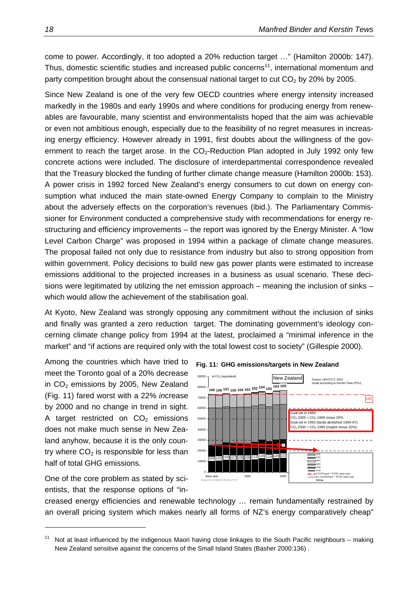come to power. Accordingly, it too adopted a 20% reduction target …" (Hamilton 2000b: 147). Thus, domestic scientific studies and increased public concerns<sup>11</sup>, international momentum and party competition brought about the consensual national target to cut  $CO<sub>2</sub>$  by 20% by 2005.

Since New Zealand is one of the very few OECD countries where energy intensity increased markedly in the 1980s and early 1990s and where conditions for producing energy from renewables are favourable, many scientist and environmentalists hoped that the aim was achievable or even not ambitious enough, especially due to the feasibility of no regret measures in increasing energy efficiency. However already in 1991, first doubts about the willingness of the government to reach the target arose. In the  $CO<sub>2</sub>$ -Reduction Plan adopted in July 1992 only few concrete actions were included. The disclosure of interdepartmental correspondence revealed that the Treasury blocked the funding of further climate change measure (Hamilton 2000b: 153). A power crisis in 1992 forced New Zealand's energy consumers to cut down on energy consumption what induced the main state-owned Energy Company to complain to the Ministry about the adversely effects on the corporation's revenues (ibid.). The Parliamentary Commissioner for Environment conducted a comprehensive study with recommendations for energy restructuring and efficiency improvements – the report was ignored by the Energy Minister. A "low Level Carbon Charge" was proposed in 1994 within a package of climate change measures. The proposal failed not only due to resistance from industry but also to strong opposition from within government. Policy decisions to build new gas power plants were estimated to increase emissions additional to the projected increases in a business as usual scenario. These decisions were legitimated by utilizing the net emission approach – meaning the inclusion of sinks – which would allow the achievement of the stabilisation goal.

At Kyoto, New Zealand was strongly opposing any commitment without the inclusion of sinks and finally was granted a zero reduction target. The dominating government's ideology concerning climate change policy from 1994 at the latest, proclaimed a "minimal inference in the market" and "if actions are required only with the total lowest cost to society" (Gillespie 2000).

Among the countries which have tried to meet the Toronto goal of a 20% decrease in  $CO<sub>2</sub>$  emissions by 2005, New Zealand ([Fig. 11\)](#page-23-0) fared worst with a 22% *in*crease by 2000 and no change in trend in sight. A target restricted on  $CO<sub>2</sub>$  emissions does not make much sense in New Zealand anyhow, because it is the only country where  $CO<sub>2</sub>$  is responsible for less than half of total GHG emissions.

One of the core problem as stated by scientists, that the response options of "in-

<span id="page-23-0"></span>



creased energy efficiencies and renewable technology … remain fundamentally restrained by an overall pricing system which makes nearly all forms of NZ's energy comparatively cheap"

<span id="page-23-1"></span> $11$  Not at least influenced by the indigenous Maori having close linkages to the South Pacific neighbours – making New Zealand sensitive against the concerns of the Small Island States (Basher 2000:136) .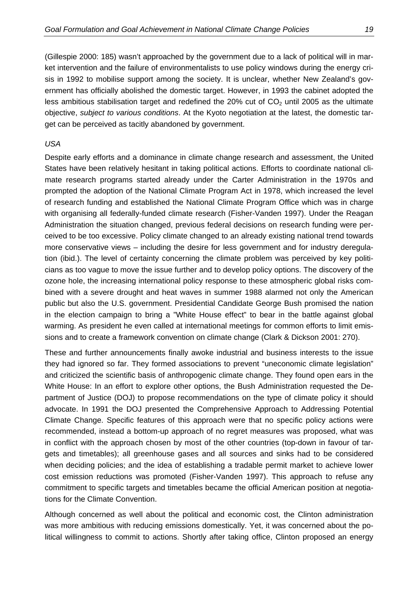<span id="page-24-0"></span>(Gillespie 2000: 185) wasn't approached by the government due to a lack of political will in market intervention and the failure of environmentalists to use policy windows during the energy crisis in 1992 to mobilise support among the society. It is unclear, whether New Zealand's government has officially abolished the domestic target. However, in 1993 the cabinet adopted the less ambitious stabilisation target and redefined the 20% cut of  $CO<sub>2</sub>$  until 2005 as the ultimate objective, *subject to various conditions*. At the Kyoto negotiation at the latest, the domestic target can be perceived as tacitly abandoned by government.

#### *USA*

Despite early efforts and a dominance in climate change research and assessment, the United States have been relatively hesitant in taking political actions. Efforts to coordinate national climate research programs started already under the Carter Administration in the 1970s and prompted the adoption of the National Climate Program Act in 1978, which increased the level of research funding and established the National Climate Program Office which was in charge with organising all federally-funded climate research (Fisher-Vanden 1997). Under the Reagan Administration the situation changed, previous federal decisions on research funding were perceived to be too excessive. Policy climate changed to an already existing national trend towards more conservative views – including the desire for less government and for industry deregulation (ibid.). The level of certainty concerning the climate problem was perceived by key politicians as too vague to move the issue further and to develop policy options. The discovery of the ozone hole, the increasing international policy response to these atmospheric global risks combined with a severe drought and heat waves in summer 1988 alarmed not only the American public but also the U.S. government. Presidential Candidate George Bush promised the nation in the election campaign to bring a "White House effect" to bear in the battle against global warming. As president he even called at international meetings for common efforts to limit emissions and to create a framework convention on climate change (Clark & Dickson 2001: 270).

These and further announcements finally awoke industrial and business interests to the issue they had ignored so far. They formed associations to prevent "uneconomic climate legislation" and criticized the scientific basis of anthropogenic climate change. They found open ears in the White House: In an effort to explore other options, the Bush Administration requested the Department of Justice (DOJ) to propose recommendations on the type of climate policy it should advocate. In 1991 the DOJ presented the Comprehensive Approach to Addressing Potential Climate Change. Specific features of this approach were that no specific policy actions were recommended, instead a bottom-up approach of no regret measures was proposed, what was in conflict with the approach chosen by most of the other countries (top-down in favour of targets and timetables); all greenhouse gases and all sources and sinks had to be considered when deciding policies; and the idea of establishing a tradable permit market to achieve lower cost emission reductions was promoted (Fisher-Vanden 1997). This approach to refuse any commitment to specific targets and timetables became the official American position at negotiations for the Climate Convention.

Although concerned as well about the political and economic cost, the Clinton administration was more ambitious with reducing emissions domestically. Yet, it was concerned about the political willingness to commit to actions. Shortly after taking office, Clinton proposed an energy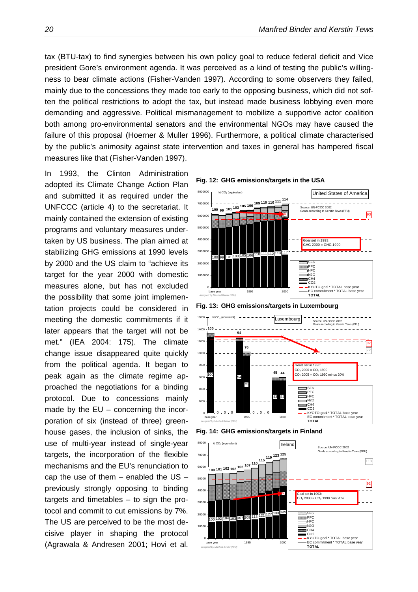tax (BTU-tax) to find synergies between his own policy goal to reduce federal deficit and Vice president Gore's environment agenda. It was perceived as a kind of testing the public's willingness to bear climate actions (Fisher-Vanden 1997). According to some observers they failed, mainly due to the concessions they made too early to the opposing business, which did not soften the political restrictions to adopt the tax, but instead made business lobbying even more demanding and aggressive. Political mismanagement to mobilize a supportive actor coalition both among pro-environmental senators and the environmental NGOs may have caused the failure of this proposal (Hoerner & Muller 1996). Furthermore, a political climate characterised by the public's animosity against state intervention and taxes in general has hampered fiscal measures like that (Fisher-Vanden 1997).

In 1993, the Clinton Administration adopted its Climate Change Action Plan and submitted it as required under the UNFCCC (article 4) to the secretariat. It mainly contained the extension of existing programs and voluntary measures undertaken by US business. The plan aimed at stabilizing GHG emissions at 1990 levels by 2000 and the US claim to "achieve its target for the year 2000 with domestic measures alone, but has not excluded the possibility that some joint implementation projects could be considered in meeting the domestic commitments if it later appears that the target will not be met." (IEA 2004: 175). The climate change issue disappeared quite quickly from the political agenda. It began to peak again as the climate regime approached the negotiations for a binding protocol. Due to concessions mainly made by the EU – concerning the incorporation of six (instead of three) greenhouse gases, the inclusion of sinks, the use of multi-year instead of single-year targets, the incorporation of the flexible mechanisms and the EU's renunciation to cap the use of them  $-$  enabled the US  $$ previously strongly opposing to binding targets and timetables – to sign the protocol and commit to cut emissions by 7%. The US are perceived to be the most decisive player in shaping the protocol (Agrawala & Andresen 2001; Hovi et al.

<span id="page-25-0"></span>

<span id="page-25-1"></span>**Fig. 13: GHG emissions/targets in Luxembourg** 



<span id="page-25-2"></span>

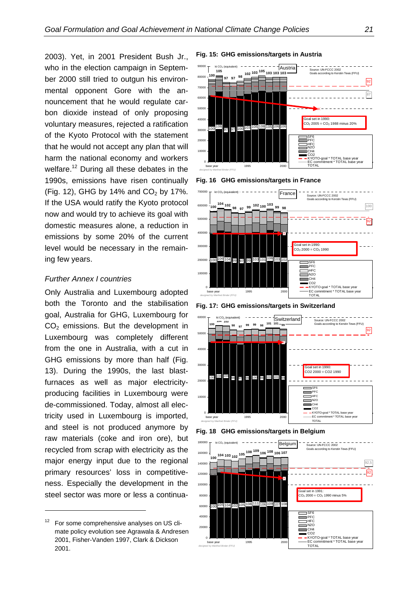<span id="page-26-0"></span>**Fig. 15: GHG emissions/targets in Austria** 2003). Yet, in 2001 President Bush Jr., who in the election campaign in September 2000 still tried to outgun his environmental opponent Gore with the announcement that he would regulate carbon dioxide instead of only proposing voluntary measures, rejected a ratification of the Kyoto Protocol with the statement that he would not accept any plan that will harm the national economy and workers welfare.<sup>12</sup> During all these debates in the 1990s, emissions have risen continually ([Fig. 12\)](#page-25-0), GHG by 14% and  $CO<sub>2</sub>$  by 17%. If the USA would ratify the Kyoto protocol now and would try to achieve its goal with domestic measures alone, a reduction in emissions by some 20% of the current level would be necessary in the remaining few years.

#### *Further Annex I countries*

Only Australia and Luxembourg adopted both the Toronto and the stabilisation goal, Australia for GHG, Luxembourg for  $CO<sub>2</sub>$  emissions. But the development in Luxembourg was completely different from the one in Australia, with a cut in G[HG emissions by more than hal](#page-25-1)f (Fig. 13). During the 1990s, the last blastfurnaces as well as major electricityproducing facilities in Luxembourg were de-commissioned. Today, almost all electricity used in Luxembourg is imported, and steel is not produced anymore by raw materials (coke and iron ore), but recycled from scrap with electricity as the major energy input due to the regional primary resources' loss in competitiveness. Especially the development in the steel sector was more or less a continua-

<span id="page-26-2"></span>

<span id="page-26-3"></span>



**Fig. 17: GHG emissions/targets in Switzerland** 







<span id="page-26-1"></span>For some comprehensive analyses on US climate policy evolution see Agrawala & Andresen 2001, Fisher-Vanden 1997, Clark & Dickson 2001.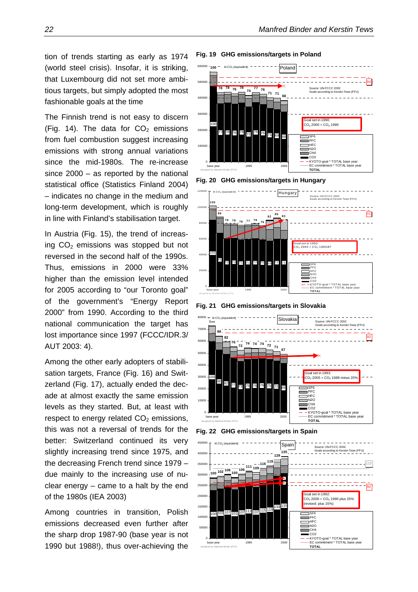tion of trends starting as early as 1974 Fig. 19 GHG emissions/targets in Poland (world steel crisis). Insofar, it is striking, that Luxembourg did not set more ambitious targets, but simply adopted the most fashionable goals at the time

The Finnish trend is not easy to discern ([Fig. 14](#page-25-2)). The data for  $CO<sub>2</sub>$  emissions from fuel combustion suggest increasing emissions with strong annual variations since the mid-1980s. The re-increase since 2000 – as reported by the national statistical office (Statistics Finland 2004) – indicates no change in the medium and long-term development, which is roughly in line with Finland's stabilisation target.

In Austria [\(Fig. 15](#page-26-2)), the trend of increasing  $CO<sub>2</sub>$  emissions was stopped but not reversed in the second half of the 1990s. Thus, emissions in 2000 were 33% higher than the emission level intended for 2005 according to "our Toronto goal" of the government's "Energy Report 2000" from 1990. According to the third national communication the target has lost importance since 1997 (FCCC/IDR.3/ AUT 2003: 4).

Among the other early adopters of stabilisation targets, France [\(Fig. 16\)](#page-26-3) and Switzerland (Fig. 17), actually ended the decade at almost exactly the same emission levels as they started. But, at least with respect to energy related  $CO<sub>2</sub>$  emissions, this was not a reversal of trends for the better: Switzerland continued its very slightly increasing trend since 1975, and the decreasing French trend since 1979 – due mainly to the increasing use of nuclear energy – came to a halt by the end of the 1980s (IEA 2003)

Among countries in transition, Polish emissions decreased even further after the sharp drop 1987-90 (base year is not 1990 but 1988!), thus over-achieving the

<span id="page-27-0"></span>

<span id="page-27-1"></span>**Fig. 20 GHG emissions/targets in Hungary**



<span id="page-27-2"></span>**Fig. 21 GHG emissions/targets in Slovakia** 



<span id="page-27-3"></span>

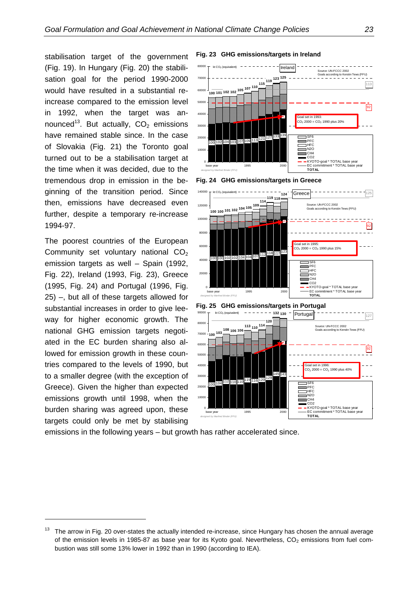stabilisation target of the government Fig. 23 GHG emissions/targets in Ireland ([Fig. 19\).](#page-27-0) In Hungary (F[ig. 20\) th](#page-27-1)e stabilisation goal for the period 1990-2000 would have resulted in a substantial reincrease compared to the emission level in 1992, when the target was announced<sup>13</sup>. But actually,  $CO<sub>2</sub>$  emissions have remained stable since. In the case of Slovakia [\(Fig. 2](#page-27-2)1) the Toronto goal turned out to be a stabilisation target at the time when it was decided, due to the tremendous drop in emission in the beginning of the transition period. Since then, emissions have decreased even further, despite a temporary re-increase 1994-97.

The poorest countries of the European Community set voluntary national  $CO<sub>2</sub>$ emission targets as well – Spain (1992, [Fig. 22](#page-27-3)), Ireland (1993[, Fig. 2](#page-28-0)3), Greece (1[995,](#page-28-2) [Fig. 24](#page-28-1)[\) and Portugal \(1996,](#page-28-2) Fig. 25) –, but all of these targets allowed for substantial increases in order to give leeway for higher economic growth. The national GHG emission targets negotiated in the EC burden sharing also allowed for emission growth in these countries compared to the levels of 1990, but to a smaller degree (with the exception of Greece). Given the higher than expected emissions growth until 1998, when the burden sharing was agreed upon, these targets could only be met by stabilising

<span id="page-28-0"></span>

<span id="page-28-2"></span><span id="page-28-1"></span>

emissions in the following years – but growth has rather accelerated since.

<span id="page-28-3"></span><sup>&</sup>lt;sup>13</sup> The arrow in Fig. 20 over-states the actually intended re-increase, since Hungary has chosen the annual average of the emission levels in 1985-87 as base year for its Kyoto goal. Nevertheless,  $CO<sub>2</sub>$  emissions from fuel combustion was still some 13% lower in 1992 than in 1990 (according to IEA).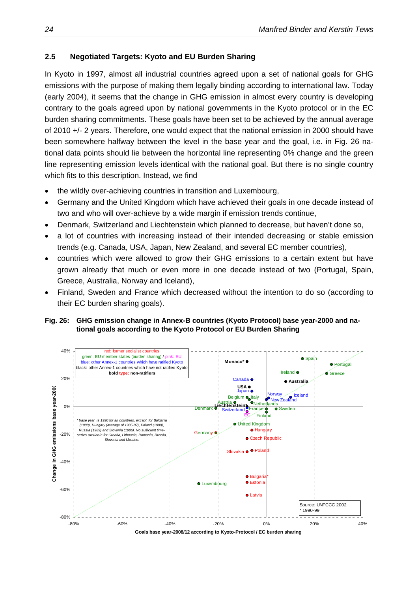#### <span id="page-29-0"></span>**2.5 Negotiated Targets: Kyoto and EU Burden Sharing**

In Kyoto in 1997, almost all industrial countries agreed upon a set of national goals for GHG emissions with the purpose of making them legally binding according to international law. Today (early 2004), it seems that the change in GHG emission in almost every country is developing contrary to the goals agreed upon by national governments in the Kyoto protocol or in the EC burden sharing commitments. These goals have been set to be achieved by the annual average of 2010 +/- 2 years. Therefore, one would expect that the national emission in 2000 should have been somewhere halfway between the level in the base year and the goal, i.e. in [Fig. 26](#page-29-1) national data points should lie between the horizontal line representing 0% change and the green line representing emission levels identical with the national goal. But there is no single country which fits to this description. Instead, we find

- the wildly over-achieving countries in transition and Luxembourg.
- Germany and the United Kingdom which have achieved their goals in one decade instead of two and who will over-achieve by a wide margin if emission trends continue,
- Denmark, Switzerland and Liechtenstein which planned to decrease, but haven't done so,
- a lot of countries with increasing instead of their intended decreasing or stable emission trends (e.g. Canada, USA, Japan, New Zealand, and several EC member countries),
- countries which were allowed to grow their GHG emissions to a certain extent but have grown already that much or even more in one decade instead of two (Portugal, Spain, Greece, Australia, Norway and Iceland),
- Finland, Sweden and France which decreased without the intention to do so (according to their EC burden sharing goals).

#### <span id="page-29-1"></span>**Fig. 26: GHG emission change in Annex-B countries (Kyoto Protocol) base year-2000 and national goals according to the Kyoto Protocol or EU Burden Sharing**



**Goals base year-2008/12 according to Kyoto-Protocol / EC burden sharing**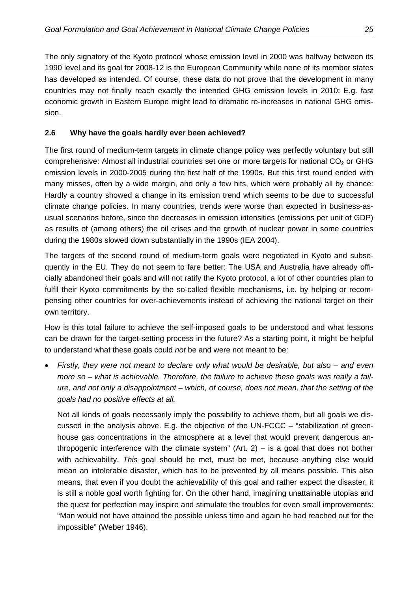<span id="page-30-0"></span>The only signatory of the Kyoto protocol whose emission level in 2000 was halfway between its 1990 level and its goal for 2008-12 is the European Community while none of its member states has developed as intended. Of course, these data do not prove that the development in many countries may not finally reach exactly the intended GHG emission levels in 2010: E.g. fast economic growth in Eastern Europe might lead to dramatic re-increases in national GHG emission.

#### **2.6 Why have the goals hardly ever been achieved?**

The first round of medium-term targets in climate change policy was perfectly voluntary but still comprehensive: Almost all industrial countries set one or more targets for national  $CO<sub>2</sub>$  or GHG emission levels in 2000-2005 during the first half of the 1990s. But this first round ended with many misses, often by a wide margin, and only a few hits, which were probably all by chance: Hardly a country showed a change in its emission trend which seems to be due to successful climate change policies. In many countries, trends were worse than expected in business-asusual scenarios before, since the decreases in emission intensities (emissions per unit of GDP) as results of (among others) the oil crises and the growth of nuclear power in some countries during the 1980s slowed down substantially in the 1990s (IEA 2004).

The targets of the second round of medium-term goals were negotiated in Kyoto and subsequently in the EU. They do not seem to fare better: The USA and Australia have already officially abandoned their goals and will not ratify the Kyoto protocol, a lot of other countries plan to fulfil their Kyoto commitments by the so-called flexible mechanisms, i.e. by helping or recompensing other countries for over-achievements instead of achieving the national target on their own territory.

How is this total failure to achieve the self-imposed goals to be understood and what lessons can be drawn for the target-setting process in the future? As a starting point, it might be helpful to understand what these goals could *not* be and were not meant to be:

• *Firstly, they were not meant to declare only what would be desirable, but also – and even more so – what is achievable. Therefore, the failure to achieve these goals was really a failure, and not only a disappointment – which, of course, does not mean, that the setting of the goals had no positive effects at all.* 

Not all kinds of goals necessarily imply the possibility to achieve them, but all goals we discussed in the analysis above. E.g. the objective of the UN-FCCC – "stabilization of greenhouse gas concentrations in the atmosphere at a level that would prevent dangerous anthropogenic interference with the climate system"  $(Art. 2) - is a goal that does not bother$ with achievability. *This* goal should be met, must be met, because anything else would mean an intolerable disaster, which has to be prevented by all means possible. This also means, that even if you doubt the achievability of this goal and rather expect the disaster, it is still a noble goal worth fighting for. On the other hand, imagining unattainable utopias and the quest for perfection may inspire and stimulate the troubles for even small improvements: "Man would not have attained the possible unless time and again he had reached out for the impossible" (Weber 1946).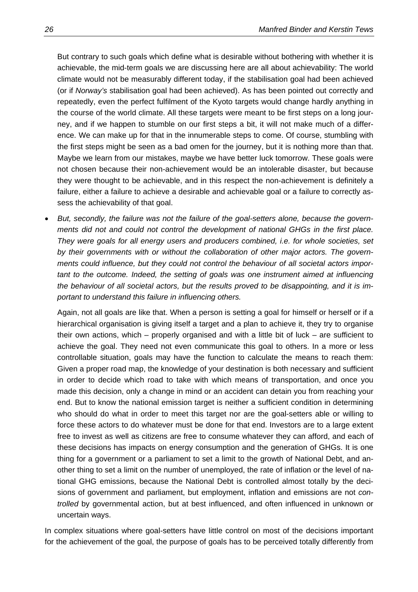But contrary to such goals which define what is desirable without bothering with whether it is achievable, the mid-term goals we are discussing here are all about achievability: The world climate would not be measurably different today, if the stabilisation goal had been achieved (or if *Norway's* stabilisation goal had been achieved). As has been pointed out correctly and repeatedly, even the perfect fulfilment of the Kyoto targets would change hardly anything in the course of the world climate. All these targets were meant to be first steps on a long journey, and if we happen to stumble on our first steps a bit, it will not make much of a difference. We can make up for that in the innumerable steps to come. Of course, stumbling with the first steps might be seen as a bad omen for the journey, but it is nothing more than that. Maybe we learn from our mistakes, maybe we have better luck tomorrow. These goals were not chosen because their non-achievement would be an intolerable disaster, but because they were thought to be achievable, and in this respect the non-achievement is definitely a failure, either a failure to achieve a desirable and achievable goal or a failure to correctly assess the achievability of that goal.

• *But, secondly, the failure was not the failure of the goal-setters alone, because the governments did not and could not control the development of national GHGs in the first place. They were goals for all energy users and producers combined, i.e. for whole societies, set by their governments with or without the collaboration of other major actors. The governments could influence, but they could not control the behaviour of all societal actors important to the outcome. Indeed, the setting of goals was one instrument aimed at influencing the behaviour of all societal actors, but the results proved to be disappointing, and it is important to understand this failure in influencing others.* 

Again, not all goals are like that. When a person is setting a goal for himself or herself or if a hierarchical organisation is giving itself a target and a plan to achieve it, they try to organise their own actions, which – properly organised and with a little bit of luck – are sufficient to achieve the goal. They need not even communicate this goal to others. In a more or less controllable situation, goals may have the function to calculate the means to reach them: Given a proper road map, the knowledge of your destination is both necessary and sufficient in order to decide which road to take with which means of transportation, and once you made this decision, only a change in mind or an accident can detain you from reaching your end. But to know the national emission target is neither a sufficient condition in determining who should do what in order to meet this target nor are the goal-setters able or willing to force these actors to do whatever must be done for that end. Investors are to a large extent free to invest as well as citizens are free to consume whatever they can afford, and each of these decisions has impacts on energy consumption and the generation of GHGs. It is one thing for a government or a parliament to set a limit to the growth of National Debt, and another thing to set a limit on the number of unemployed, the rate of inflation or the level of national GHG emissions, because the National Debt is controlled almost totally by the decisions of government and parliament, but employment, inflation and emissions are not *controlled* by governmental action, but at best influenced, and often influenced in unknown or uncertain ways.

In complex situations where goal-setters have little control on most of the decisions important for the achievement of the goal, the purpose of goals has to be perceived totally differently from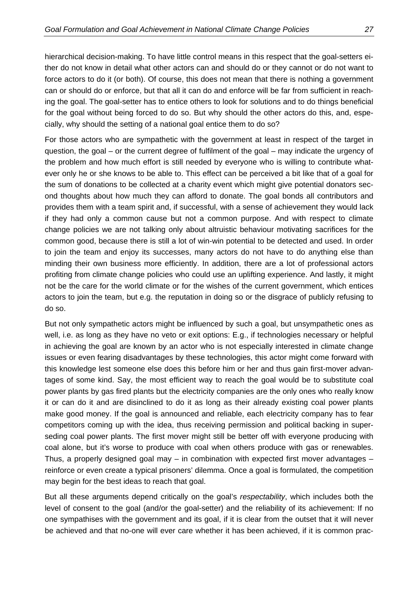hierarchical decision-making. To have little control means in this respect that the goal-setters either do not know in detail what other actors can and should do or they cannot or do not want to force actors to do it (or both). Of course, this does not mean that there is nothing a government can or should do or enforce, but that all it can do and enforce will be far from sufficient in reaching the goal. The goal-setter has to entice others to look for solutions and to do things beneficial for the goal without being forced to do so. But why should the other actors do this, and, especially, why should the setting of a national goal entice them to do so?

For those actors who are sympathetic with the government at least in respect of the target in question, the goal – or the current degree of fulfilment of the goal – may indicate the urgency of the problem and how much effort is still needed by everyone who is willing to contribute whatever only he or she knows to be able to. This effect can be perceived a bit like that of a goal for the sum of donations to be collected at a charity event which might give potential donators second thoughts about how much they can afford to donate. The goal bonds all contributors and provides them with a team spirit and, if successful, with a sense of achievement they would lack if they had only a common cause but not a common purpose. And with respect to climate change policies we are not talking only about altruistic behaviour motivating sacrifices for the common good, because there is still a lot of win-win potential to be detected and used. In order to join the team and enjoy its successes, many actors do not have to do anything else than minding their own business more efficiently. In addition, there are a lot of professional actors profiting from climate change policies who could use an uplifting experience. And lastly, it might not be the care for the world climate or for the wishes of the current government, which entices actors to join the team, but e.g. the reputation in doing so or the disgrace of publicly refusing to do so.

But not only sympathetic actors might be influenced by such a goal, but unsympathetic ones as well, i.e. as long as they have no veto or exit options: E.g., if technologies necessary or helpful in achieving the goal are known by an actor who is not especially interested in climate change issues or even fearing disadvantages by these technologies, this actor might come forward with this knowledge lest someone else does this before him or her and thus gain first-mover advantages of some kind. Say, the most efficient way to reach the goal would be to substitute coal power plants by gas fired plants but the electricity companies are the only ones who really know it or can do it and are disinclined to do it as long as their already existing coal power plants make good money. If the goal is announced and reliable, each electricity company has to fear competitors coming up with the idea, thus receiving permission and political backing in superseding coal power plants. The first mover might still be better off with everyone producing with coal alone, but it's worse to produce with coal when others produce with gas or renewables. Thus, a properly designed goal may  $-$  in combination with expected first mover advantages  $$ reinforce or even create a typical prisoners' dilemma. Once a goal is formulated, the competition may begin for the best ideas to reach that goal.

But all these arguments depend critically on the goal's *respectability*, which includes both the level of consent to the goal (and/or the goal-setter) and the reliability of its achievement: If no one sympathises with the government and its goal, if it is clear from the outset that it will never be achieved and that no-one will ever care whether it has been achieved, if it is common prac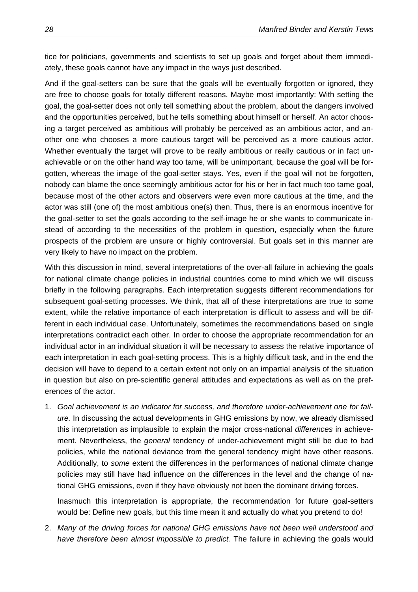tice for politicians, governments and scientists to set up goals and forget about them immediately, these goals cannot have any impact in the ways just described.

And if the goal-setters can be sure that the goals will be eventually forgotten or ignored, they are free to choose goals for totally different reasons. Maybe most importantly: With setting the goal, the goal-setter does not only tell something about the problem, about the dangers involved and the opportunities perceived, but he tells something about himself or herself. An actor choosing a target perceived as ambitious will probably be perceived as an ambitious actor, and another one who chooses a more cautious target will be perceived as a more cautious actor. Whether eventually the target will prove to be really ambitious or really cautious or in fact unachievable or on the other hand way too tame, will be unimportant, because the goal will be forgotten, whereas the image of the goal-setter stays. Yes, even if the goal will not be forgotten, nobody can blame the once seemingly ambitious actor for his or her in fact much too tame goal, because most of the other actors and observers were even more cautious at the time, and the actor was still (one of) the most ambitious one(s) then. Thus, there is an enormous incentive for the goal-setter to set the goals according to the self-image he or she wants to communicate instead of according to the necessities of the problem in question, especially when the future prospects of the problem are unsure or highly controversial. But goals set in this manner are very likely to have no impact on the problem.

With this discussion in mind, several interpretations of the over-all failure in achieving the goals for national climate change policies in industrial countries come to mind which we will discuss briefly in the following paragraphs. Each interpretation suggests different recommendations for subsequent goal-setting processes. We think, that all of these interpretations are true to some extent, while the relative importance of each interpretation is difficult to assess and will be different in each individual case. Unfortunately, sometimes the recommendations based on single interpretations contradict each other. In order to choose the appropriate recommendation for an individual actor in an individual situation it will be necessary to assess the relative importance of each interpretation in each goal-setting process. This is a highly difficult task, and in the end the decision will have to depend to a certain extent not only on an impartial analysis of the situation in question but also on pre-scientific general attitudes and expectations as well as on the preferences of the actor.

1. *Goal achievement is an indicator for success, and therefore under-achievement one for failure.* In discussing the actual developments in GHG emissions by now, we already dismissed this interpretation as implausible to explain the major cross-national *differences* in achievement. Nevertheless, the *general* tendency of under-achievement might still be due to bad policies, while the national deviance from the general tendency might have other reasons. Additionally, to *some* extent the differences in the performances of national climate change policies may still have had influence on the differences in the level and the change of national GHG emissions, even if they have obviously not been the dominant driving forces.

Inasmuch this interpretation is appropriate, the recommendation for future goal-setters would be: Define new goals, but this time mean it and actually do what you pretend to do!

2. *Many of the driving forces for national GHG emissions have not been well understood and have therefore been almost impossible to predict.* The failure in achieving the goals would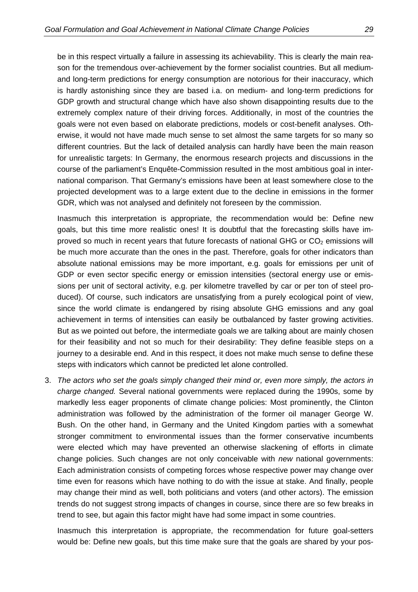be in this respect virtually a failure in assessing its achievability. This is clearly the main reason for the tremendous over-achievement by the former socialist countries. But all mediumand long-term predictions for energy consumption are notorious for their inaccuracy, which is hardly astonishing since they are based i.a. on medium- and long-term predictions for GDP growth and structural change which have also shown disappointing results due to the extremely complex nature of their driving forces. Additionally, in most of the countries the goals were not even based on elaborate predictions, models or cost-benefit analyses. Otherwise, it would not have made much sense to set almost the same targets for so many so different countries. But the lack of detailed analysis can hardly have been the main reason for unrealistic targets: In Germany, the enormous research projects and discussions in the course of the parliament's Enquête-Commission resulted in the most ambitious goal in international comparison. That Germany's emissions have been at least somewhere close to the projected development was to a large extent due to the decline in emissions in the former GDR, which was not analysed and definitely not foreseen by the commission.

Inasmuch this interpretation is appropriate, the recommendation would be: Define new goals, but this time more realistic ones! It is doubtful that the forecasting skills have improved so much in recent years that future forecasts of national GHG or  $CO<sub>2</sub>$  emissions will be much more accurate than the ones in the past. Therefore, goals for other indicators than absolute national emissions may be more important, e.g. goals for emissions per unit of GDP or even sector specific energy or emission intensities (sectoral energy use or emissions per unit of sectoral activity, e.g. per kilometre travelled by car or per ton of steel produced). Of course, such indicators are unsatisfying from a purely ecological point of view, since the world climate is endangered by rising absolute GHG emissions and any goal achievement in terms of intensities can easily be outbalanced by faster growing activities. But as we pointed out before, the intermediate goals we are talking about are mainly chosen for their feasibility and not so much for their desirability: They define feasible steps on a journey to a desirable end. And in this respect, it does not make much sense to define these steps with indicators which cannot be predicted let alone controlled.

3. *The actors who set the goals simply changed their mind or, even more simply, the actors in charge changed.* Several national governments were replaced during the 1990s, some by markedly less eager proponents of climate change policies: Most prominently, the Clinton administration was followed by the administration of the former oil manager George W. Bush. On the other hand, in Germany and the United Kingdom parties with a somewhat stronger commitment to environmental issues than the former conservative incumbents were elected which may have prevented an otherwise slackening of efforts in climate change policies. Such changes are not only conceivable with *new* national governments: Each administration consists of competing forces whose respective power may change over time even for reasons which have nothing to do with the issue at stake. And finally, people may change their mind as well, both politicians and voters (and other actors). The emission trends do not suggest strong impacts of changes in course, since there are so few breaks in trend to see, but again this factor might have had some impact in some countries.

Inasmuch this interpretation is appropriate, the recommendation for future goal-setters would be: Define new goals, but this time make sure that the goals are shared by your pos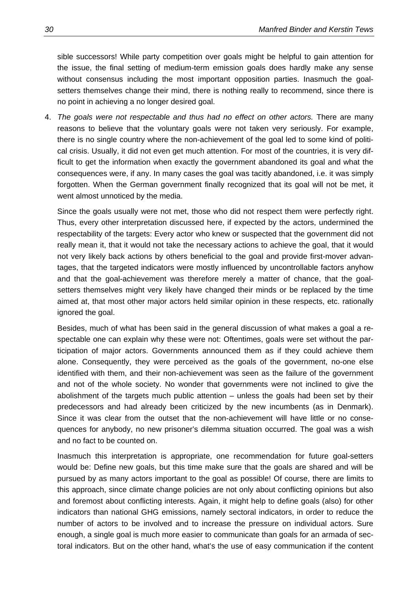sible successors! While party competition over goals might be helpful to gain attention for the issue, the final setting of medium-term emission goals does hardly make any sense without consensus including the most important opposition parties. Inasmuch the goalsetters themselves change their mind, there is nothing really to recommend, since there is no point in achieving a no longer desired goal.

4. *The goals were not respectable and thus had no effect on other actors.* There are many reasons to believe that the voluntary goals were not taken very seriously. For example, there is no single country where the non-achievement of the goal led to some kind of political crisis. Usually, it did not even get much attention. For most of the countries, it is very difficult to get the information when exactly the government abandoned its goal and what the consequences were, if any. In many cases the goal was tacitly abandoned, i.e. it was simply forgotten. When the German government finally recognized that its goal will not be met, it went almost unnoticed by the media.

Since the goals usually were not met, those who did not respect them were perfectly right. Thus, every other interpretation discussed here, if expected by the actors, undermined the respectability of the targets: Every actor who knew or suspected that the government did not really mean it, that it would not take the necessary actions to achieve the goal, that it would not very likely back actions by others beneficial to the goal and provide first-mover advantages, that the targeted indicators were mostly influenced by uncontrollable factors anyhow and that the goal-achievement was therefore merely a matter of chance, that the goalsetters themselves might very likely have changed their minds or be replaced by the time aimed at, that most other major actors held similar opinion in these respects, etc. rationally ignored the goal.

Besides, much of what has been said in the general discussion of what makes a goal a respectable one can explain why these were not: Oftentimes, goals were set without the participation of major actors. Governments announced them as if they could achieve them alone. Consequently, they were perceived as the goals of the government, no-one else identified with them, and their non-achievement was seen as the failure of the government and not of the whole society. No wonder that governments were not inclined to give the abolishment of the targets much public attention – unless the goals had been set by their predecessors and had already been criticized by the new incumbents (as in Denmark). Since it was clear from the outset that the non-achievement will have little or no consequences for anybody, no new prisoner's dilemma situation occurred. The goal was a wish and no fact to be counted on.

Inasmuch this interpretation is appropriate, one recommendation for future goal-setters would be: Define new goals, but this time make sure that the goals are shared and will be pursued by as many actors important to the goal as possible! Of course, there are limits to this approach, since climate change policies are not only about conflicting opinions but also and foremost about conflicting interests. Again, it might help to define goals (also) for other indicators than national GHG emissions, namely sectoral indicators, in order to reduce the number of actors to be involved and to increase the pressure on individual actors. Sure enough, a single goal is much more easier to communicate than goals for an armada of sectoral indicators. But on the other hand, what's the use of easy communication if the content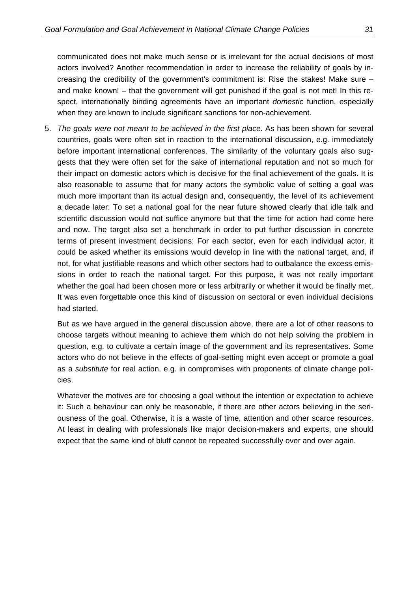communicated does not make much sense or is irrelevant for the actual decisions of most actors involved? Another recommendation in order to increase the reliability of goals by increasing the credibility of the government's commitment is: Rise the stakes! Make sure – and make known! – that the government will get punished if the goal is not met! In this respect, internationally binding agreements have an important *domestic* function, especially when they are known to include significant sanctions for non-achievement.

5. *The goals were not meant to be achieved in the first place.* As has been shown for several countries, goals were often set in reaction to the international discussion, e.g. immediately before important international conferences. The similarity of the voluntary goals also suggests that they were often set for the sake of international reputation and not so much for their impact on domestic actors which is decisive for the final achievement of the goals. It is also reasonable to assume that for many actors the symbolic value of setting a goal was much more important than its actual design and, consequently, the level of its achievement a decade later: To set a national goal for the near future showed clearly that idle talk and scientific discussion would not suffice anymore but that the time for action had come here and now. The target also set a benchmark in order to put further discussion in concrete terms of present investment decisions: For each sector, even for each individual actor, it could be asked whether its emissions would develop in line with the national target, and, if not, for what justifiable reasons and which other sectors had to outbalance the excess emissions in order to reach the national target. For this purpose, it was not really important whether the goal had been chosen more or less arbitrarily or whether it would be finally met. It was even forgettable once this kind of discussion on sectoral or even individual decisions had started.

But as we have argued in the general discussion above, there are a lot of other reasons to choose targets without meaning to achieve them which do not help solving the problem in question, e.g. to cultivate a certain image of the government and its representatives. Some actors who do not believe in the effects of goal-setting might even accept or promote a goal as a *substitute* for real action, e.g. in compromises with proponents of climate change policies.

Whatever the motives are for choosing a goal without the intention or expectation to achieve it: Such a behaviour can only be reasonable, if there are other actors believing in the seriousness of the goal. Otherwise, it is a waste of time, attention and other scarce resources. At least in dealing with professionals like major decision-makers and experts, one should expect that the same kind of bluff cannot be repeated successfully over and over again.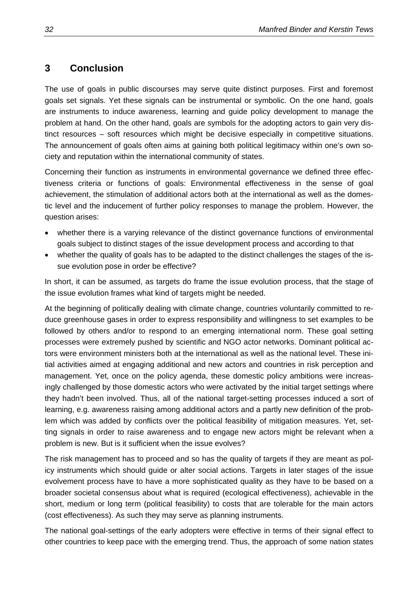# <span id="page-37-0"></span>**3 Conclusion**

The use of goals in public discourses may serve quite distinct purposes. First and foremost goals set signals. Yet these signals can be instrumental or symbolic. On the one hand, goals are instruments to induce awareness, learning and guide policy development to manage the problem at hand. On the other hand, goals are symbols for the adopting actors to gain very distinct resources – soft resources which might be decisive especially in competitive situations. The announcement of goals often aims at gaining both political legitimacy within one's own society and reputation within the international community of states.

Concerning their function as instruments in environmental governance we defined three effectiveness criteria or functions of goals: Environmental effectiveness in the sense of goal achievement, the stimulation of additional actors both at the international as well as the domestic level and the inducement of further policy responses to manage the problem. However, the question arises:

- whether there is a varying relevance of the distinct governance functions of environmental goals subject to distinct stages of the issue development process and according to that
- whether the quality of goals has to be adapted to the distinct challenges the stages of the issue evolution pose in order be effective?

In short, it can be assumed, as targets do frame the issue evolution process, that the stage of the issue evolution frames what kind of targets might be needed.

At the beginning of politically dealing with climate change, countries voluntarily committed to reduce greenhouse gases in order to express responsibility and willingness to set examples to be followed by others and/or to respond to an emerging international norm. These goal setting processes were extremely pushed by scientific and NGO actor networks. Dominant political actors were environment ministers both at the international as well as the national level. These initial activities aimed at engaging additional and new actors and countries in risk perception and management. Yet, once on the policy agenda, these domestic policy ambitions were increasingly challenged by those domestic actors who were activated by the initial target settings where they hadn't been involved. Thus, all of the national target-setting processes induced a sort of learning, e.g. awareness raising among additional actors and a partly new definition of the problem which was added by conflicts over the political feasibility of mitigation measures. Yet, setting signals in order to raise awareness and to engage new actors might be relevant when a problem is new. But is it sufficient when the issue evolves?

The risk management has to proceed and so has the quality of targets if they are meant as policy instruments which should guide or alter social actions. Targets in later stages of the issue evolvement process have to have a more sophisticated quality as they have to be based on a broader societal consensus about what is required (ecological effectiveness), achievable in the short, medium or long term (political feasibility) to costs that are tolerable for the main actors (cost effectiveness). As such they may serve as planning instruments.

The national goal-settings of the early adopters were effective in terms of their signal effect to other countries to keep pace with the emerging trend. Thus, the approach of some nation states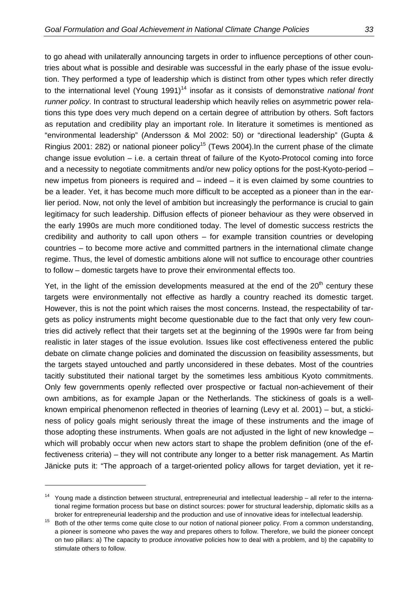to go ahead with unilaterally announcing targets in order to influence perceptions of other countries about what is possible and desirable was successful in the early phase of the issue evolution. They performed a type of leadership which is distinct from other types which refer directly to the international level (Young 1991)<sup>14</sup> insofar as it consists of demonstrative *national front runner policy*. In contrast to structural leadership which heavily relies on asymmetric power relations this type does very much depend on a certain degree of attribution by others. Soft factors as reputation and credibility play an important role. In literature it sometimes is mentioned as "environmental leadership" (Andersson & Mol 2002: 50) or "directional leadership" (Gupta & Ringius 2001: 282) or national pioneer policy<sup>15</sup> (Tews 2004). In the current phase of the climate change issue evolution – i.e. a certain threat of failure of the Kyoto-Protocol coming into force and a necessity to negotiate commitments and/or new policy options for the post-Kyoto-period – new impetus from pioneers is required and – indeed – it is even claimed by some countries to be a leader. Yet, it has become much more difficult to be accepted as a pioneer than in the earlier period. Now, not only the level of ambition but increasingly the performance is crucial to gain legitimacy for such leadership. Diffusion effects of pioneer behaviour as they were observed in the early 1990s are much more conditioned today. The level of domestic success restricts the credibility and authority to call upon others – for example transition countries or developing countries – to become more active and committed partners in the international climate change regime. Thus, the level of domestic ambitions alone will not suffice to encourage other countries to follow – domestic targets have to prove their environmental effects too.

Yet, in the light of the emission developments measured at the end of the  $20<sup>th</sup>$  century these targets were environmentally not effective as hardly a country reached its domestic target. However, this is not the point which raises the most concerns. Instead, the respectability of targets as policy instruments might become questionable due to the fact that only very few countries did actively reflect that their targets set at the beginning of the 1990s were far from being realistic in later stages of the issue evolution. Issues like cost effectiveness entered the public debate on climate change policies and dominated the discussion on feasibility assessments, but the targets stayed untouched and partly unconsidered in these debates. Most of the countries tacitly substituted their national target by the sometimes less ambitious Kyoto commitments. Only few governments openly reflected over prospective or factual non-achievement of their own ambitions, as for example Japan or the Netherlands. The stickiness of goals is a wellknown empirical phenomenon reflected in theories of learning (Levy et al. 2001) – but, a stickiness of policy goals might seriously threat the image of these instruments and the image of those adopting these instruments. When goals are not adjusted in the light of new knowledge – which will probably occur when new actors start to shape the problem definition (one of the effectiveness criteria) – they will not contribute any longer to a better risk management. As Martin Jänicke puts it: "The approach of a target-oriented policy allows for target deviation, yet it re-

<span id="page-38-0"></span> $14$  Young made a distinction between structural, entrepreneurial and intellectual leadership – all refer to the international regime formation process but base on distinct sources: power for structural leadership, diplomatic skills as a

<span id="page-38-1"></span>broker for entrepreneurial leadership and the production and use of innovative ideas for intellectual leadership.<br><sup>15</sup> Both of the other terms come quite close to our notion of national pioneer policy. From a common unders a pioneer is someone who paves the way and prepares others to follow. Therefore, we build the pioneer concept on two pillars: a) The capacity to produce *innovative* policies how to deal with a problem, and b) the capability to stimulate others to follow.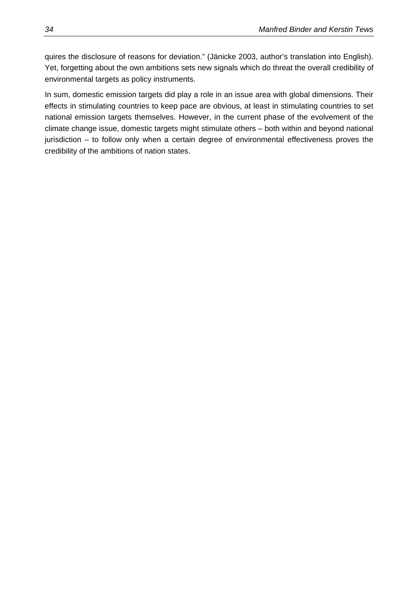quires the disclosure of reasons for deviation." (Jänicke 2003, author's translation into English). Yet, forgetting about the own ambitions sets new signals which do threat the overall credibility of environmental targets as policy instruments.

In sum, domestic emission targets did play a role in an issue area with global dimensions. Their effects in stimulating countries to keep pace are obvious, at least in stimulating countries to set national emission targets themselves. However, in the current phase of the evolvement of the climate change issue, domestic targets might stimulate others – both within and beyond national jurisdiction – to follow only when a certain degree of environmental effectiveness proves the credibility of the ambitions of nation states.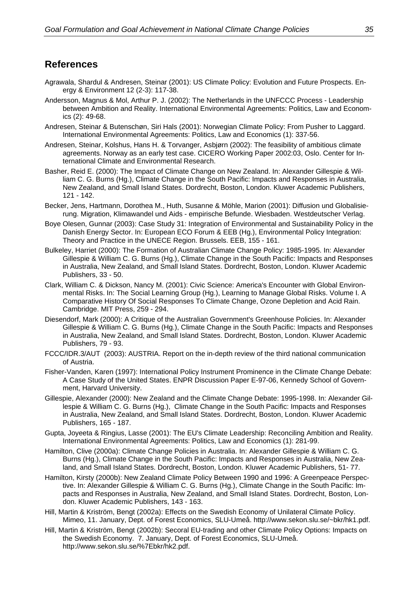## <span id="page-40-0"></span>**References**

- Agrawala, Shardul & Andresen, Steinar (2001): US Climate Policy: Evolution and Future Prospects. Energy & Environment 12 (2-3): 117-38.
- Andersson, Magnus & Mol, Arthur P. J. (2002): The Netherlands in the UNFCCC Process Leadership between Ambition and Reality. International Environmental Agreements: Politics, Law and Economics (2): 49-68.
- Andresen, Steinar & Butenschøn, Siri Hals (2001): Norwegian Climate Policy: From Pusher to Laggard. International Environmental Agreements: Politics, Law and Economics (1): 337-56.
- Andresen, Steinar, Kolshus, Hans H. & Torvanger, Asbjørn (2002): The feasibility of ambitious climate agreements. Norway as an early test case. CICERO Working Paper 2002:03, Oslo. Center for International Climate and Environmental Research.
- Basher, Reid E. (2000): The Impact of Climate Change on New Zealand. In: Alexander Gillespie & William C. G. Burns (Hg.), Climate Change in the South Pacific: Impacts and Responses in Australia, New Zealand, and Small Island States. Dordrecht, Boston, London. Kluwer Academic Publishers, 121 - 142.
- Becker, Jens, Hartmann, Dorothea M., Huth, Susanne & Möhle, Marion (2001): Diffusion und Globalisierung. Migration, Klimawandel und Aids - empirische Befunde. Wiesbaden. Westdeutscher Verlag.
- Boye Olesen, Gunnar (2003): Case Study 31: Integration of Environmental and Sustainability Policy in the Danish Energy Sector. In: European ECO Forum & EEB (Hg.), Environmental Policy Integration: Theory and Practice in the UNECE Region. Brussels. EEB, 155 - 161.
- Bulkeley, Harriet (2000): The Formation of Australian Climate Change Policy: 1985-1995. In: Alexander Gillespie & William C. G. Burns (Hg.), Climate Change in the South Pacific: Impacts and Responses in Australia, New Zealand, and Small Island States. Dordrecht, Boston, London. Kluwer Academic Publishers, 33 - 50.
- Clark, William C. & Dickson, Nancy M. (2001): Civic Science: America's Encounter with Global Environmental Risks. In: The Social Learning Group (Hg.), Learning to Manage Global Risks. Volume I. A Comparative History Of Social Responses To Climate Change, Ozone Depletion and Acid Rain. Cambridge. MIT Press, 259 - 294.
- Diesendorf, Mark (2000): A Critique of the Australian Government's Greenhouse Policies. In: Alexander Gillespie & William C. G. Burns (Hg.), Climate Change in the South Pacific: Impacts and Responses in Australia, New Zealand, and Small Island States. Dordrecht, Boston, London. Kluwer Academic Publishers, 79 - 93.
- FCCC/IDR.3/AUT (2003): AUSTRIA. Report on the in-depth review of the third national communication of Austria.
- Fisher-Vanden, Karen (1997): International Policy Instrument Prominence in the Climate Change Debate: A Case Study of the United States. ENPR Discussion Paper E-97-06, Kennedy School of Government, Harvard University.
- Gillespie, Alexander (2000): New Zealand and the Climate Change Debate: 1995-1998. In: Alexander Gillespie & William C. G. Burns (Hg.), Climate Change in the South Pacific: Impacts and Responses in Australia, New Zealand, and Small Island States. Dordrecht, Boston, London. Kluwer Academic Publishers, 165 - 187.
- Gupta, Joyeeta & Ringius, Lasse (2001): The EU's Climate Leadership: Reconciling Ambition and Reality. International Environmental Agreements: Politics, Law and Economics (1): 281-99.
- Hamilton, Clive (2000a): Climate Change Policies in Australia. In: Alexander Gillespie & William C. G. Burns (Hg.), Climate Change in the South Pacific: Impacts and Responses in Australia, New Zealand, and Small Island States. Dordrecht, Boston, London. Kluwer Academic Publishers, 51- 77.
- Hamilton, Kirsty (2000b): New Zealand Climate Policy Between 1990 and 1996: A Greenpeace Perspective. In: Alexander Gillespie & William C. G. Burns (Hg.), Climate Change in the South Pacific: Impacts and Responses in Australia, New Zealand, and Small Island States. Dordrecht, Boston, London. Kluwer Academic Publishers, 143 - 163.
- Hill, Martin & Kriström, Bengt (2002a): Effects on the Swedish Economy of Unilateral Climate Policy. Mimeo, 11. January, Dept. of Forest Economics, SLU-Umeå. http://www.sekon.slu.se/~bkr/hk1.pdf.
- Hill, Martin & Kriström, Bengt (2002b): Secoral EU-trading and other Climate Policy Options: Impacts on the Swedish Economy. 7. January, Dept. of Forest Economics, SLU-Umeå. http://www.sekon.slu.se/%7Ebkr/hk2.pdf.